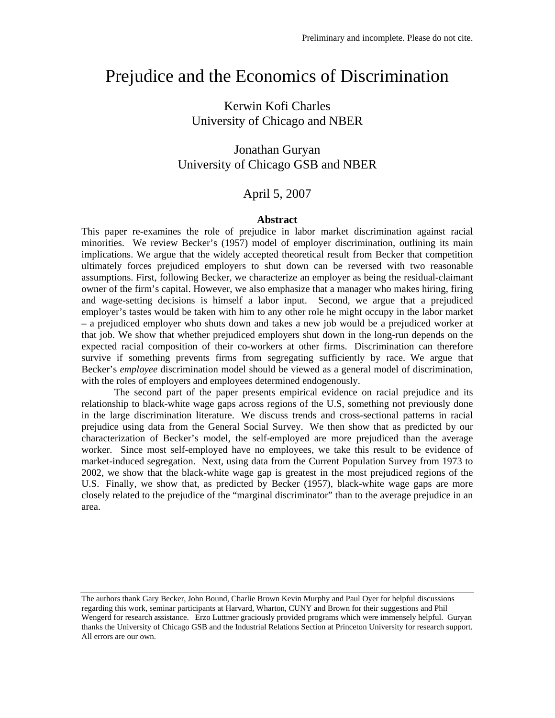# Prejudice and the Economics of Discrimination

# Kerwin Kofi Charles University of Chicago and NBER

# Jonathan Guryan University of Chicago GSB and NBER

# April 5, 2007

#### **Abstract**

This paper re-examines the role of prejudice in labor market discrimination against racial minorities. We review Becker's (1957) model of employer discrimination, outlining its main implications. We argue that the widely accepted theoretical result from Becker that competition ultimately forces prejudiced employers to shut down can be reversed with two reasonable assumptions. First, following Becker, we characterize an employer as being the residual-claimant owner of the firm's capital. However, we also emphasize that a manager who makes hiring, firing and wage-setting decisions is himself a labor input. Second, we argue that a prejudiced employer's tastes would be taken with him to any other role he might occupy in the labor market – a prejudiced employer who shuts down and takes a new job would be a prejudiced worker at that job. We show that whether prejudiced employers shut down in the long-run depends on the expected racial composition of their co-workers at other firms. Discrimination can therefore survive if something prevents firms from segregating sufficiently by race. We argue that Becker's *employee* discrimination model should be viewed as a general model of discrimination, with the roles of employers and employees determined endogenously.

The second part of the paper presents empirical evidence on racial prejudice and its relationship to black-white wage gaps across regions of the U.S, something not previously done in the large discrimination literature. We discuss trends and cross-sectional patterns in racial prejudice using data from the General Social Survey. We then show that as predicted by our characterization of Becker's model, the self-employed are more prejudiced than the average worker. Since most self-employed have no employees, we take this result to be evidence of market-induced segregation. Next, using data from the Current Population Survey from 1973 to 2002, we show that the black-white wage gap is greatest in the most prejudiced regions of the U.S. Finally, we show that, as predicted by Becker (1957), black-white wage gaps are more closely related to the prejudice of the "marginal discriminator" than to the average prejudice in an area.

The authors thank Gary Becker, John Bound, Charlie Brown Kevin Murphy and Paul Oyer for helpful discussions regarding this work, seminar participants at Harvard, Wharton, CUNY and Brown for their suggestions and Phil Wengerd for research assistance. Erzo Luttmer graciously provided programs which were immensely helpful. Guryan thanks the University of Chicago GSB and the Industrial Relations Section at Princeton University for research support. All errors are our own.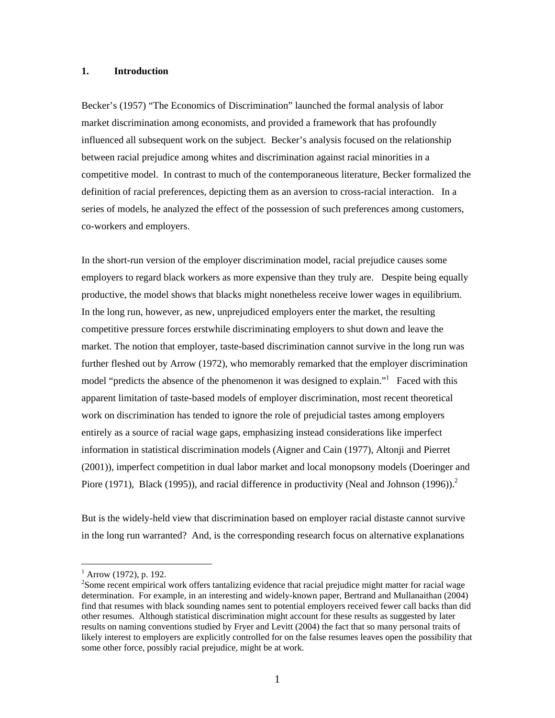### **1. Introduction**

Becker's (1957) "The Economics of Discrimination" launched the formal analysis of labor market discrimination among economists, and provided a framework that has profoundly influenced all subsequent work on the subject. Becker's analysis focused on the relationship between racial prejudice among whites and discrimination against racial minorities in a competitive model. In contrast to much of the contemporaneous literature, Becker formalized the definition of racial preferences, depicting them as an aversion to cross-racial interaction. In a series of models, he analyzed the effect of the possession of such preferences among customers, co-workers and employers.

In the short-run version of the employer discrimination model, racial prejudice causes some employers to regard black workers as more expensive than they truly are. Despite being equally productive, the model shows that blacks might nonetheless receive lower wages in equilibrium. In the long run, however, as new, unprejudiced employers enter the market, the resulting competitive pressure forces erstwhile discriminating employers to shut down and leave the market. The notion that employer, taste-based discrimination cannot survive in the long run was further fleshed out by Arrow (1972), who memorably remarked that the employer discrimination model "predicts the absence of the phenomenon it was designed to explain." Faced with this apparent limitation of taste-based models of employer discrimination, most recent theoretical work on discrimination has tended to ignore the role of prejudicial tastes among employers entirely as a source of racial wage gaps, emphasizing instead considerations like imperfect information in statistical discrimination models (Aigner and Cain (1977), Altonji and Pierret (2001)), imperfect competition in dual labor market and local monopsony models (Doeringer and Piore (1971), Black (1995)), and racial difference in productivity (Neal and Johnson (1996)).<sup>2</sup>

But is the widely-held view that discrimination based on employer racial distaste cannot survive in the long run warranted? And, is the corresponding research focus on alternative explanations

 $<sup>1</sup>$  Arrow (1972), p. 192.</sup>

 $2$ Some recent empirical work offers tantalizing evidence that racial prejudice might matter for racial wage determination. For example, in an interesting and widely-known paper, Bertrand and Mullanaithan (2004) find that resumes with black sounding names sent to potential employers received fewer call backs than did other resumes. Although statistical discrimination might account for these results as suggested by later results on naming conventions studied by Fryer and Levitt (2004) the fact that so many personal traits of likely interest to employers are explicitly controlled for on the false resumes leaves open the possibility that some other force, possibly racial prejudice, might be at work.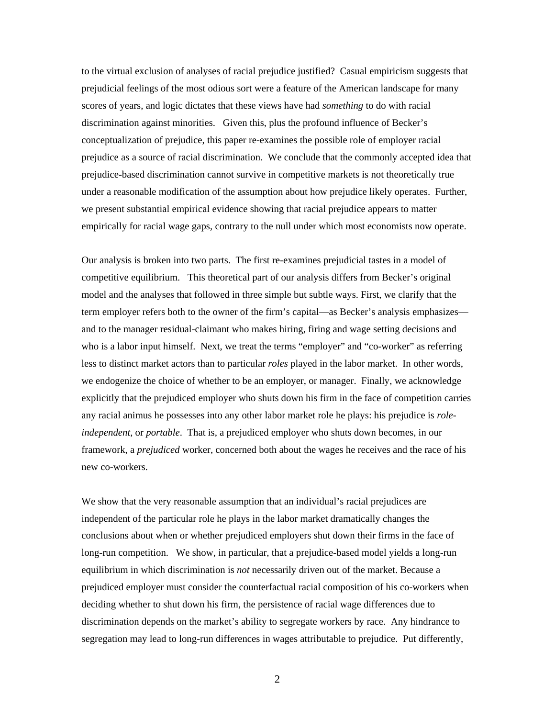to the virtual exclusion of analyses of racial prejudice justified? Casual empiricism suggests that prejudicial feelings of the most odious sort were a feature of the American landscape for many scores of years, and logic dictates that these views have had *something* to do with racial discrimination against minorities. Given this, plus the profound influence of Becker's conceptualization of prejudice, this paper re-examines the possible role of employer racial prejudice as a source of racial discrimination. We conclude that the commonly accepted idea that prejudice-based discrimination cannot survive in competitive markets is not theoretically true under a reasonable modification of the assumption about how prejudice likely operates. Further, we present substantial empirical evidence showing that racial prejudice appears to matter empirically for racial wage gaps, contrary to the null under which most economists now operate.

Our analysis is broken into two parts. The first re-examines prejudicial tastes in a model of competitive equilibrium. This theoretical part of our analysis differs from Becker's original model and the analyses that followed in three simple but subtle ways. First, we clarify that the term employer refers both to the owner of the firm's capital—as Becker's analysis emphasizes and to the manager residual-claimant who makes hiring, firing and wage setting decisions and who is a labor input himself. Next, we treat the terms "employer" and "co-worker" as referring less to distinct market actors than to particular *roles* played in the labor market. In other words, we endogenize the choice of whether to be an employer, or manager. Finally, we acknowledge explicitly that the prejudiced employer who shuts down his firm in the face of competition carries any racial animus he possesses into any other labor market role he plays: his prejudice is *roleindependent*, or *portable*. That is, a prejudiced employer who shuts down becomes, in our framework, a *prejudiced* worker, concerned both about the wages he receives and the race of his new co-workers.

We show that the very reasonable assumption that an individual's racial prejudices are independent of the particular role he plays in the labor market dramatically changes the conclusions about when or whether prejudiced employers shut down their firms in the face of long-run competition. We show, in particular, that a prejudice-based model yields a long-run equilibrium in which discrimination is *not* necessarily driven out of the market. Because a prejudiced employer must consider the counterfactual racial composition of his co-workers when deciding whether to shut down his firm, the persistence of racial wage differences due to discrimination depends on the market's ability to segregate workers by race. Any hindrance to segregation may lead to long-run differences in wages attributable to prejudice. Put differently,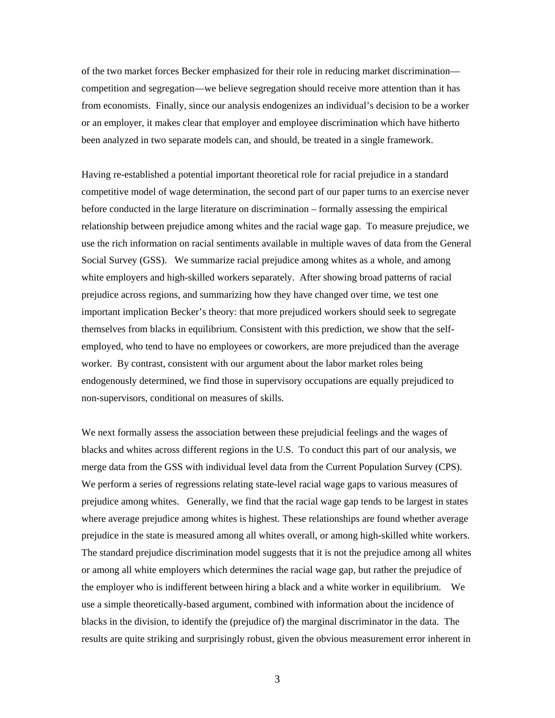of the two market forces Becker emphasized for their role in reducing market discrimination competition and segregation—we believe segregation should receive more attention than it has from economists. Finally, since our analysis endogenizes an individual's decision to be a worker or an employer, it makes clear that employer and employee discrimination which have hitherto been analyzed in two separate models can, and should, be treated in a single framework.

Having re-established a potential important theoretical role for racial prejudice in a standard competitive model of wage determination, the second part of our paper turns to an exercise never before conducted in the large literature on discrimination – formally assessing the empirical relationship between prejudice among whites and the racial wage gap. To measure prejudice, we use the rich information on racial sentiments available in multiple waves of data from the General Social Survey (GSS). We summarize racial prejudice among whites as a whole, and among white employers and high-skilled workers separately. After showing broad patterns of racial prejudice across regions, and summarizing how they have changed over time, we test one important implication Becker's theory: that more prejudiced workers should seek to segregate themselves from blacks in equilibrium. Consistent with this prediction, we show that the selfemployed, who tend to have no employees or coworkers, are more prejudiced than the average worker. By contrast, consistent with our argument about the labor market roles being endogenously determined, we find those in supervisory occupations are equally prejudiced to non-supervisors, conditional on measures of skills.

We next formally assess the association between these prejudicial feelings and the wages of blacks and whites across different regions in the U.S. To conduct this part of our analysis, we merge data from the GSS with individual level data from the Current Population Survey (CPS). We perform a series of regressions relating state-level racial wage gaps to various measures of prejudice among whites. Generally, we find that the racial wage gap tends to be largest in states where average prejudice among whites is highest. These relationships are found whether average prejudice in the state is measured among all whites overall, or among high-skilled white workers. The standard prejudice discrimination model suggests that it is not the prejudice among all whites or among all white employers which determines the racial wage gap, but rather the prejudice of the employer who is indifferent between hiring a black and a white worker in equilibrium. We use a simple theoretically-based argument, combined with information about the incidence of blacks in the division, to identify the (prejudice of) the marginal discriminator in the data. The results are quite striking and surprisingly robust, given the obvious measurement error inherent in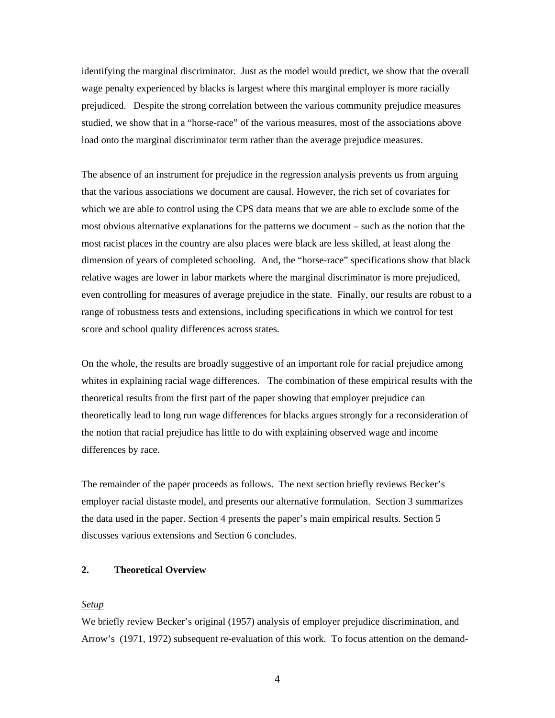identifying the marginal discriminator. Just as the model would predict, we show that the overall wage penalty experienced by blacks is largest where this marginal employer is more racially prejudiced. Despite the strong correlation between the various community prejudice measures studied, we show that in a "horse-race" of the various measures, most of the associations above load onto the marginal discriminator term rather than the average prejudice measures.

The absence of an instrument for prejudice in the regression analysis prevents us from arguing that the various associations we document are causal. However, the rich set of covariates for which we are able to control using the CPS data means that we are able to exclude some of the most obvious alternative explanations for the patterns we document – such as the notion that the most racist places in the country are also places were black are less skilled, at least along the dimension of years of completed schooling. And, the "horse-race" specifications show that black relative wages are lower in labor markets where the marginal discriminator is more prejudiced, even controlling for measures of average prejudice in the state. Finally, our results are robust to a range of robustness tests and extensions, including specifications in which we control for test score and school quality differences across states.

On the whole, the results are broadly suggestive of an important role for racial prejudice among whites in explaining racial wage differences. The combination of these empirical results with the theoretical results from the first part of the paper showing that employer prejudice can theoretically lead to long run wage differences for blacks argues strongly for a reconsideration of the notion that racial prejudice has little to do with explaining observed wage and income differences by race.

The remainder of the paper proceeds as follows. The next section briefly reviews Becker's employer racial distaste model, and presents our alternative formulation. Section 3 summarizes the data used in the paper. Section 4 presents the paper's main empirical results. Section 5 discusses various extensions and Section 6 concludes.

# **2. Theoretical Overview**

#### *Setup*

We briefly review Becker's original (1957) analysis of employer prejudice discrimination, and Arrow's (1971, 1972) subsequent re-evaluation of this work. To focus attention on the demand-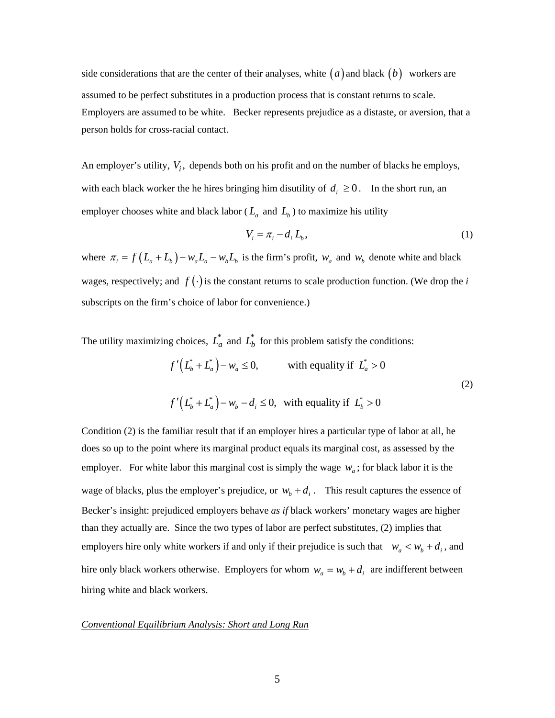side considerations that are the center of their analyses, white  $(a)$  and black  $(b)$  workers are assumed to be perfect substitutes in a production process that is constant returns to scale. Employers are assumed to be white. Becker represents prejudice as a distaste, or aversion, that a person holds for cross-racial contact.

An employer's utility,  $V_i$ , depends both on his profit and on the number of blacks he employs, with each black worker the he hires bringing him disutility of  $d_i \geq 0$ . In the short run, an employer chooses white and black labor ( $L_a$  and  $L_b$ ) to maximize his utility

$$
V_i = \pi_i - d_i L_b,\tag{1}
$$

where  $\pi_i = f(L_a + L_b) - w_a L_a - w_b L_b$  is the firm's profit,  $w_a$  and  $w_b$  denote white and black wages, respectively; and  $f(\cdot)$  is the constant returns to scale production function. (We drop the *i* subscripts on the firm's choice of labor for convenience.)

The utility maximizing choices,  $L_a^*$  and  $L_b^*$  for this problem satisfy the conditions:

$$
f'\left(L_b^* + L_a^*\right) - w_a \le 0, \qquad \text{with equality if } L_a^* > 0
$$
  

$$
f'\left(L_b^* + L_a^*\right) - w_b - d_i \le 0, \text{ with equality if } L_b^* > 0
$$
 (2)

Condition (2) is the familiar result that if an employer hires a particular type of labor at all, he does so up to the point where its marginal product equals its marginal cost, as assessed by the employer. For white labor this marginal cost is simply the wage  $w_a$ ; for black labor it is the wage of blacks, plus the employer's prejudice, or  $w_b + d_i$ . This result captures the essence of Becker's insight: prejudiced employers behave *as if* black workers' monetary wages are higher than they actually are. Since the two types of labor are perfect substitutes, (2) implies that employers hire only white workers if and only if their prejudice is such that  $w_a < w_b + d_i$ , and hire only black workers otherwise. Employers for whom  $w_a = w_b + d_i$  are indifferent between hiring white and black workers.

#### *Conventional Equilibrium Analysis: Short and Long Run*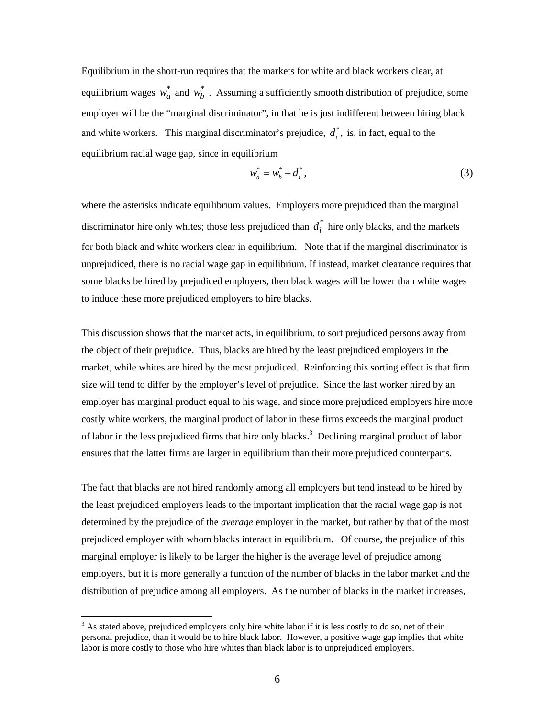Equilibrium in the short-run requires that the markets for white and black workers clear, at equilibrium wages  $w_a^*$  and  $w_b^*$ . Assuming a sufficiently smooth distribution of prejudice, some employer will be the "marginal discriminator", in that he is just indifferent between hiring black and white workers. This marginal discriminator's prejudice,  $d_i^*$ , is, in fact, equal to the equilibrium racial wage gap, since in equilibrium

$$
w_a^* = w_b^* + d_i^*,
$$
 (3)

where the asterisks indicate equilibrium values. Employers more prejudiced than the marginal discriminator hire only whites; those less prejudiced than  $d_i^*$  hire only blacks, and the markets for both black and white workers clear in equilibrium. Note that if the marginal discriminator is unprejudiced, there is no racial wage gap in equilibrium. If instead, market clearance requires that some blacks be hired by prejudiced employers, then black wages will be lower than white wages to induce these more prejudiced employers to hire blacks.

This discussion shows that the market acts, in equilibrium, to sort prejudiced persons away from the object of their prejudice. Thus, blacks are hired by the least prejudiced employers in the market, while whites are hired by the most prejudiced. Reinforcing this sorting effect is that firm size will tend to differ by the employer's level of prejudice. Since the last worker hired by an employer has marginal product equal to his wage, and since more prejudiced employers hire more costly white workers, the marginal product of labor in these firms exceeds the marginal product of labor in the less prejudiced firms that hire only blacks.<sup>3</sup> Declining marginal product of labor ensures that the latter firms are larger in equilibrium than their more prejudiced counterparts.

The fact that blacks are not hired randomly among all employers but tend instead to be hired by the least prejudiced employers leads to the important implication that the racial wage gap is not determined by the prejudice of the *average* employer in the market, but rather by that of the most prejudiced employer with whom blacks interact in equilibrium. Of course, the prejudice of this marginal employer is likely to be larger the higher is the average level of prejudice among employers, but it is more generally a function of the number of blacks in the labor market and the distribution of prejudice among all employers. As the number of blacks in the market increases,

 $3$  As stated above, prejudiced employers only hire white labor if it is less costly to do so, net of their personal prejudice, than it would be to hire black labor. However, a positive wage gap implies that white labor is more costly to those who hire whites than black labor is to unprejudiced employers.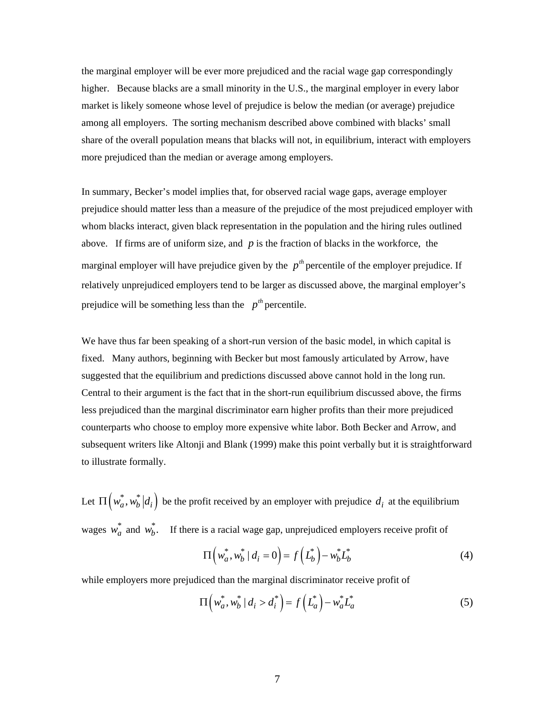the marginal employer will be ever more prejudiced and the racial wage gap correspondingly higher. Because blacks are a small minority in the U.S., the marginal employer in every labor market is likely someone whose level of prejudice is below the median (or average) prejudice among all employers. The sorting mechanism described above combined with blacks' small share of the overall population means that blacks will not, in equilibrium, interact with employers more prejudiced than the median or average among employers.

In summary, Becker's model implies that, for observed racial wage gaps, average employer prejudice should matter less than a measure of the prejudice of the most prejudiced employer with whom blacks interact, given black representation in the population and the hiring rules outlined above. If firms are of uniform size, and  $p$  is the fraction of blacks in the workforce, the marginal employer will have prejudice given by the  $p^{th}$  percentile of the employer prejudice. If relatively unprejudiced employers tend to be larger as discussed above, the marginal employer's prejudice will be something less than the  $p^{th}$  percentile.

We have thus far been speaking of a short-run version of the basic model, in which capital is fixed. Many authors, beginning with Becker but most famously articulated by Arrow, have suggested that the equilibrium and predictions discussed above cannot hold in the long run. Central to their argument is the fact that in the short-run equilibrium discussed above, the firms less prejudiced than the marginal discriminator earn higher profits than their more prejudiced counterparts who choose to employ more expensive white labor. Both Becker and Arrow, and subsequent writers like Altonji and Blank (1999) make this point verbally but it is straightforward to illustrate formally.

Let  $\Pi \left( w_a^*, w_b^* | d_i \right)$  be the profit received by an employer with prejudice  $d_i$  at the equilibrium wages  $w_a^*$  and  $w_b^*$ . If there is a racial wage gap, unprejudiced employers receive profit of

$$
\Pi\left(w_a^*, w_b^* \mid d_i = 0\right) = f\left(L_b^*\right) - w_b^* L_b^* \tag{4}
$$

while employers more prejudiced than the marginal discriminator receive profit of

$$
\Pi\left(w_a^*, w_b^* \mid d_i > d_i^*\right) = f\left(L_a^*\right) - w_a^* L_a^* \tag{5}
$$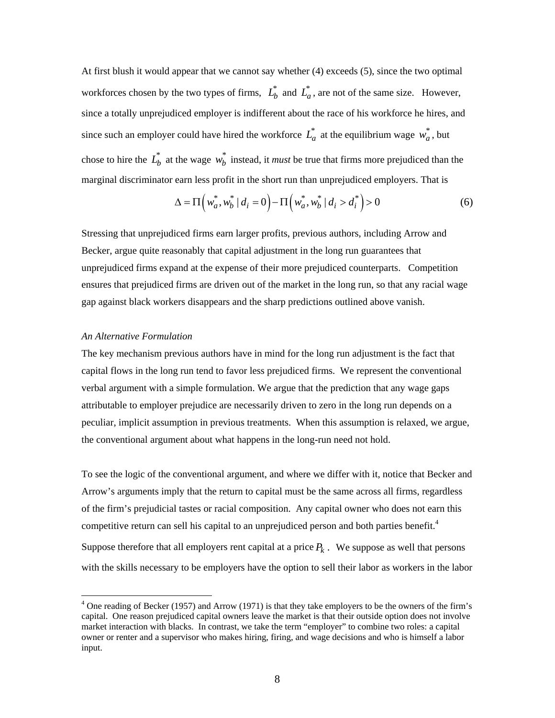At first blush it would appear that we cannot say whether (4) exceeds (5), since the two optimal workforces chosen by the two types of firms,  $L_b^*$  and  $L_a^*$ , are not of the same size. However, since a totally unprejudiced employer is indifferent about the race of his workforce he hires, and since such an employer could have hired the workforce  $L_a^*$  at the equilibrium wage  $w_a^*$ , but chose to hire the  $L_b^*$  at the wage  $w_b^*$  instead, it *must* be true that firms more prejudiced than the marginal discriminator earn less profit in the short run than unprejudiced employers. That is

$$
\Delta = \Pi \left( w_a^*, w_b^* \mid d_i = 0 \right) - \Pi \left( w_a^*, w_b^* \mid d_i > d_i^* \right) > 0 \tag{6}
$$

Stressing that unprejudiced firms earn larger profits, previous authors, including Arrow and Becker, argue quite reasonably that capital adjustment in the long run guarantees that unprejudiced firms expand at the expense of their more prejudiced counterparts. Competition ensures that prejudiced firms are driven out of the market in the long run, so that any racial wage gap against black workers disappears and the sharp predictions outlined above vanish.

#### *An Alternative Formulation*

 $\overline{a}$ 

The key mechanism previous authors have in mind for the long run adjustment is the fact that capital flows in the long run tend to favor less prejudiced firms. We represent the conventional verbal argument with a simple formulation. We argue that the prediction that any wage gaps attributable to employer prejudice are necessarily driven to zero in the long run depends on a peculiar, implicit assumption in previous treatments. When this assumption is relaxed, we argue, the conventional argument about what happens in the long-run need not hold.

To see the logic of the conventional argument, and where we differ with it, notice that Becker and Arrow's arguments imply that the return to capital must be the same across all firms, regardless of the firm's prejudicial tastes or racial composition. Any capital owner who does not earn this competitive return can sell his capital to an unprejudiced person and both parties benefit.<sup>4</sup>

Suppose therefore that all employers rent capital at a price  $P_k$ . We suppose as well that persons with the skills necessary to be employers have the option to sell their labor as workers in the labor

 $4$  One reading of Becker (1957) and Arrow (1971) is that they take employers to be the owners of the firm's capital. One reason prejudiced capital owners leave the market is that their outside option does not involve market interaction with blacks. In contrast, we take the term "employer" to combine two roles: a capital owner or renter and a supervisor who makes hiring, firing, and wage decisions and who is himself a labor input.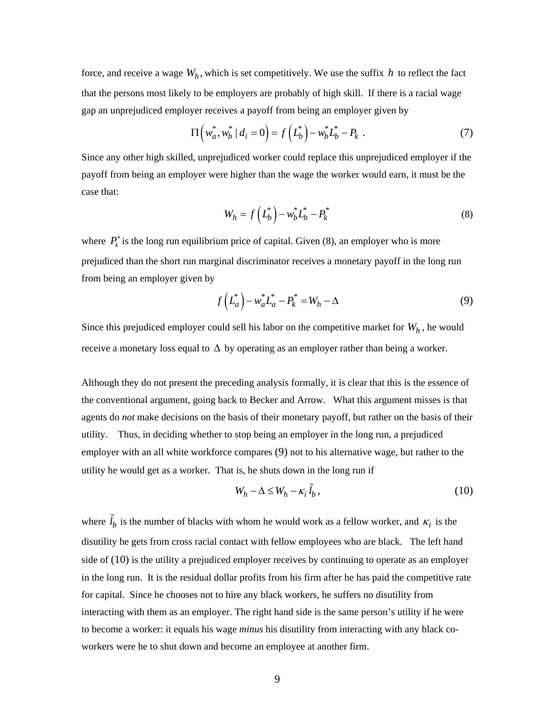force, and receive a wage  $W_h$ , which is set competitively. We use the suffix *h* to reflect the fact that the persons most likely to be employers are probably of high skill. If there is a racial wage gap an unprejudiced employer receives a payoff from being an employer given by

$$
\Pi\left(w_a^*, w_b^* \mid d_i = 0\right) = f\left(L_b^*\right) - w_b^* L_b^* - P_k . \tag{7}
$$

Since any other high skilled, unprejudiced worker could replace this unprejudiced employer if the payoff from being an employer were higher than the wage the worker would earn, it must be the case that:

$$
W_h = f\left(L_b^*\right) - w_b^* L_b^* - P_k^* \tag{8}
$$

where  $P_k^*$  is the long run equilibrium price of capital. Given (8), an employer who is more prejudiced than the short run marginal discriminator receives a monetary payoff in the long run from being an employer given by

$$
f\left(L_a^*\right) - w_a^* L_a^* - P_k^* = W_h - \Delta
$$
 (9)

Since this prejudiced employer could sell his labor on the competitive market for  $W_h$ , he would receive a monetary loss equal to  $\Delta$  by operating as an employer rather than being a worker.

Although they do not present the preceding analysis formally, it is clear that this is the essence of the conventional argument, going back to Becker and Arrow. What this argument misses is that agents do *not* make decisions on the basis of their monetary payoff, but rather on the basis of their utility. Thus, in deciding whether to stop being an employer in the long run, a prejudiced employer with an all white workforce compares (9) not to his alternative wage, but rather to the utility he would get as a worker. That is, he shuts down in the long run if

$$
W_h - \Delta \le W_h - \kappa_i \tilde{l}_b, \qquad (10)
$$

where  $\tilde{l}_b$  is the number of blacks with whom he would work as a fellow worker, and  $\kappa_i$  is the disutility he gets from cross racial contact with fellow employees who are black. The left hand side of (10) is the utility a prejudiced employer receives by continuing to operate as an employer in the long run. It is the residual dollar profits from his firm after he has paid the competitive rate for capital. Since he chooses not to hire any black workers, he suffers no disutility from interacting with them as an employer. The right hand side is the same person's utility if he were to become a worker: it equals his wage *minus* his disutility from interacting with any black coworkers were he to shut down and become an employee at another firm.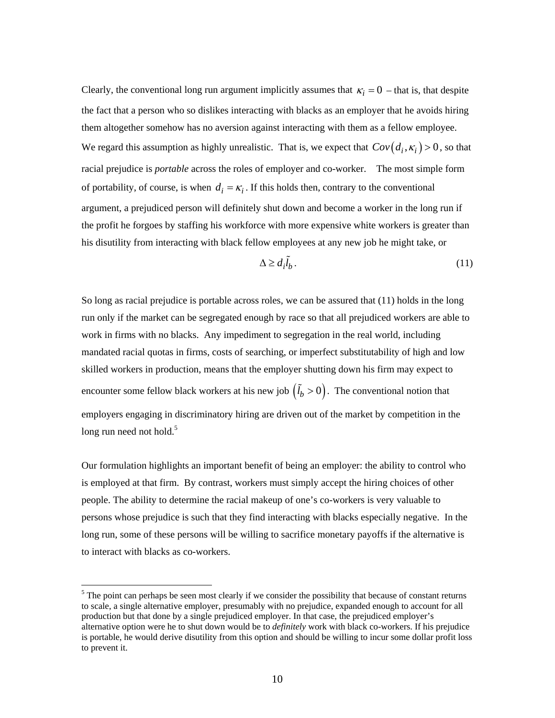Clearly, the conventional long run argument implicitly assumes that  $\kappa_i = 0$  – that is, that despite the fact that a person who so dislikes interacting with blacks as an employer that he avoids hiring them altogether somehow has no aversion against interacting with them as a fellow employee. We regard this assumption as highly unrealistic. That is, we expect that  $Cov(d_i, \kappa_i) > 0$ , so that racial prejudice is *portable* across the roles of employer and co-worker. The most simple form of portability, of course, is when  $d_i = \kappa_i$ . If this holds then, contrary to the conventional argument, a prejudiced person will definitely shut down and become a worker in the long run if the profit he forgoes by staffing his workforce with more expensive white workers is greater than his disutility from interacting with black fellow employees at any new job he might take, or

$$
\Delta \ge d_i \tilde{l}_b. \tag{11}
$$

So long as racial prejudice is portable across roles, we can be assured that (11) holds in the long run only if the market can be segregated enough by race so that all prejudiced workers are able to work in firms with no blacks. Any impediment to segregation in the real world, including mandated racial quotas in firms, costs of searching, or imperfect substitutability of high and low skilled workers in production, means that the employer shutting down his firm may expect to encounter some fellow black workers at his new job  $(\tilde{l}_b > 0)$ . The conventional notion that employers engaging in discriminatory hiring are driven out of the market by competition in the long run need not hold.<sup>5</sup>

Our formulation highlights an important benefit of being an employer: the ability to control who is employed at that firm. By contrast, workers must simply accept the hiring choices of other people. The ability to determine the racial makeup of one's co-workers is very valuable to persons whose prejudice is such that they find interacting with blacks especially negative. In the long run, some of these persons will be willing to sacrifice monetary payoffs if the alternative is to interact with blacks as co-workers.

<sup>&</sup>lt;sup>5</sup> The point can perhaps be seen most clearly if we consider the possibility that because of constant returns to scale, a single alternative employer, presumably with no prejudice, expanded enough to account for all production but that done by a single prejudiced employer. In that case, the prejudiced employer's alternative option were he to shut down would be to *definitely* work with black co-workers. If his prejudice is portable, he would derive disutility from this option and should be willing to incur some dollar profit loss to prevent it.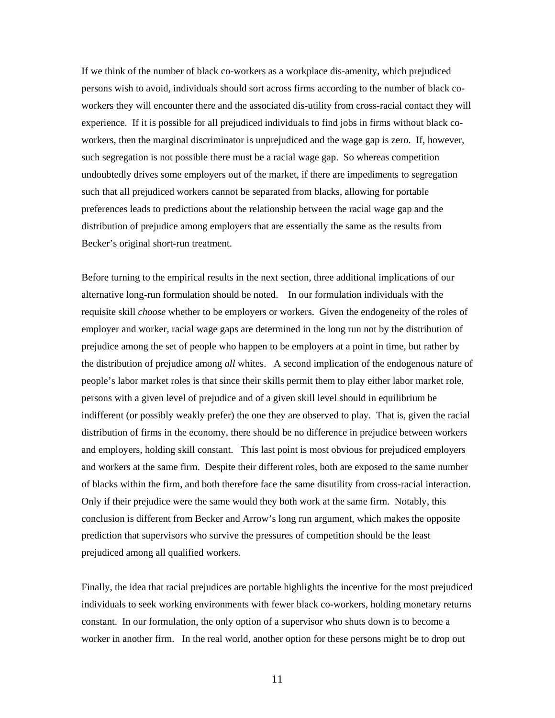If we think of the number of black co-workers as a workplace dis-amenity, which prejudiced persons wish to avoid, individuals should sort across firms according to the number of black coworkers they will encounter there and the associated dis-utility from cross-racial contact they will experience. If it is possible for all prejudiced individuals to find jobs in firms without black coworkers, then the marginal discriminator is unprejudiced and the wage gap is zero. If, however, such segregation is not possible there must be a racial wage gap. So whereas competition undoubtedly drives some employers out of the market, if there are impediments to segregation such that all prejudiced workers cannot be separated from blacks, allowing for portable preferences leads to predictions about the relationship between the racial wage gap and the distribution of prejudice among employers that are essentially the same as the results from Becker's original short-run treatment.

Before turning to the empirical results in the next section, three additional implications of our alternative long-run formulation should be noted. In our formulation individuals with the requisite skill *choose* whether to be employers or workers. Given the endogeneity of the roles of employer and worker, racial wage gaps are determined in the long run not by the distribution of prejudice among the set of people who happen to be employers at a point in time, but rather by the distribution of prejudice among *all* whites. A second implication of the endogenous nature of people's labor market roles is that since their skills permit them to play either labor market role, persons with a given level of prejudice and of a given skill level should in equilibrium be indifferent (or possibly weakly prefer) the one they are observed to play. That is, given the racial distribution of firms in the economy, there should be no difference in prejudice between workers and employers, holding skill constant. This last point is most obvious for prejudiced employers and workers at the same firm. Despite their different roles, both are exposed to the same number of blacks within the firm, and both therefore face the same disutility from cross-racial interaction. Only if their prejudice were the same would they both work at the same firm. Notably, this conclusion is different from Becker and Arrow's long run argument, which makes the opposite prediction that supervisors who survive the pressures of competition should be the least prejudiced among all qualified workers.

Finally, the idea that racial prejudices are portable highlights the incentive for the most prejudiced individuals to seek working environments with fewer black co-workers, holding monetary returns constant. In our formulation, the only option of a supervisor who shuts down is to become a worker in another firm. In the real world, another option for these persons might be to drop out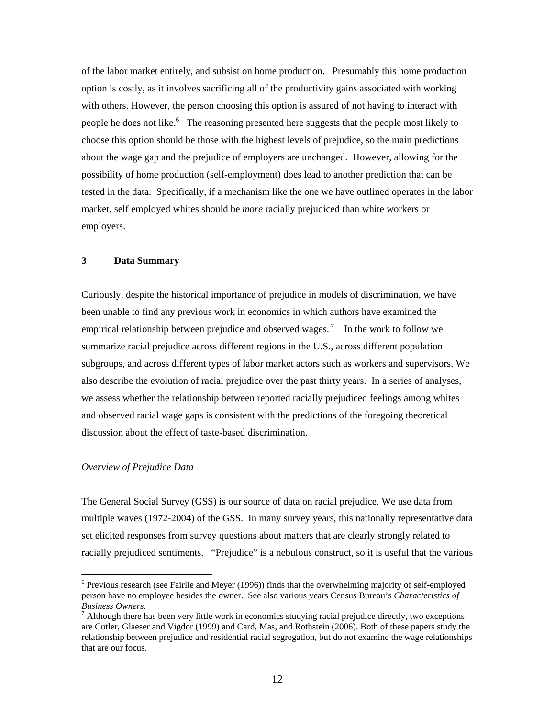of the labor market entirely, and subsist on home production. Presumably this home production option is costly, as it involves sacrificing all of the productivity gains associated with working with others. However, the person choosing this option is assured of not having to interact with people he does not like.<sup>6</sup> The reasoning presented here suggests that the people most likely to choose this option should be those with the highest levels of prejudice, so the main predictions about the wage gap and the prejudice of employers are unchanged. However, allowing for the possibility of home production (self-employment) does lead to another prediction that can be tested in the data. Specifically, if a mechanism like the one we have outlined operates in the labor market, self employed whites should be *more* racially prejudiced than white workers or employers.

## **3 Data Summary**

Curiously, despite the historical importance of prejudice in models of discrimination, we have been unable to find any previous work in economics in which authors have examined the empirical relationship between prejudice and observed wages.<sup>7</sup> In the work to follow we summarize racial prejudice across different regions in the U.S., across different population subgroups, and across different types of labor market actors such as workers and supervisors. We also describe the evolution of racial prejudice over the past thirty years. In a series of analyses, we assess whether the relationship between reported racially prejudiced feelings among whites and observed racial wage gaps is consistent with the predictions of the foregoing theoretical discussion about the effect of taste-based discrimination.

#### *Overview of Prejudice Data*

 $\overline{a}$ 

The General Social Survey (GSS) is our source of data on racial prejudice. We use data from multiple waves (1972-2004) of the GSS. In many survey years, this nationally representative data set elicited responses from survey questions about matters that are clearly strongly related to racially prejudiced sentiments. "Prejudice" is a nebulous construct, so it is useful that the various

 $6$  Previous research (see Fairlie and Meyer (1996)) finds that the overwhelming majority of self-employed person have no employee besides the owner. See also various years Census Bureau's *Characteristics of Business Owners*. 7

 $^7$  Although there has been very little work in economics studying racial prejudice directly, two exceptions are Cutler, Glaeser and Vigdor (1999) and Card, Mas, and Rothstein (2006). Both of these papers study the relationship between prejudice and residential racial segregation, but do not examine the wage relationships that are our focus.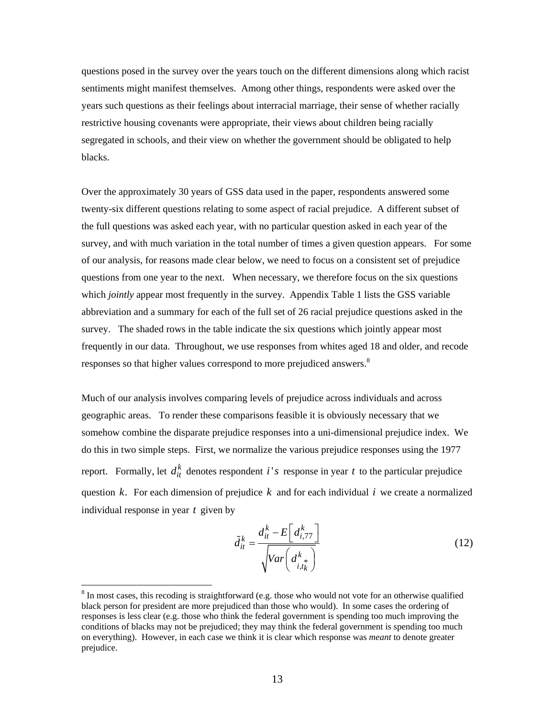questions posed in the survey over the years touch on the different dimensions along which racist sentiments might manifest themselves. Among other things, respondents were asked over the years such questions as their feelings about interracial marriage, their sense of whether racially restrictive housing covenants were appropriate, their views about children being racially segregated in schools, and their view on whether the government should be obligated to help blacks.

Over the approximately 30 years of GSS data used in the paper, respondents answered some twenty-six different questions relating to some aspect of racial prejudice. A different subset of the full questions was asked each year, with no particular question asked in each year of the survey, and with much variation in the total number of times a given question appears. For some of our analysis, for reasons made clear below, we need to focus on a consistent set of prejudice questions from one year to the next. When necessary, we therefore focus on the six questions which *jointly* appear most frequently in the survey. Appendix Table 1 lists the GSS variable abbreviation and a summary for each of the full set of 26 racial prejudice questions asked in the survey. The shaded rows in the table indicate the six questions which jointly appear most frequently in our data. Throughout, we use responses from whites aged 18 and older, and recode responses so that higher values correspond to more prejudiced answers.<sup>8</sup>

Much of our analysis involves comparing levels of prejudice across individuals and across geographic areas. To render these comparisons feasible it is obviously necessary that we somehow combine the disparate prejudice responses into a uni-dimensional prejudice index. We do this in two simple steps. First, we normalize the various prejudice responses using the 1977 report. Formally, let  $d_{it}^k$  denotes respondent *i's* response in year *t* to the particular prejudice question *k*. For each dimension of prejudice *k* and for each individual *i* we create a normalized individual response in year *t* given by

$$
\tilde{d}_{it}^{k} = \frac{d_{it}^{k} - E\left[d_{i,77}^{k}\right]}{\sqrt{Var\left(d_{i,t_{k}}^{k}\right)}}
$$
\n(12)

 $8 \text{ In most cases, this recoding is straightforward (e.g. those who would not vote for an otherwise qualified})$ black person for president are more prejudiced than those who would). In some cases the ordering of responses is less clear (e.g. those who think the federal government is spending too much improving the conditions of blacks may not be prejudiced; they may think the federal government is spending too much on everything). However, in each case we think it is clear which response was *meant* to denote greater prejudice.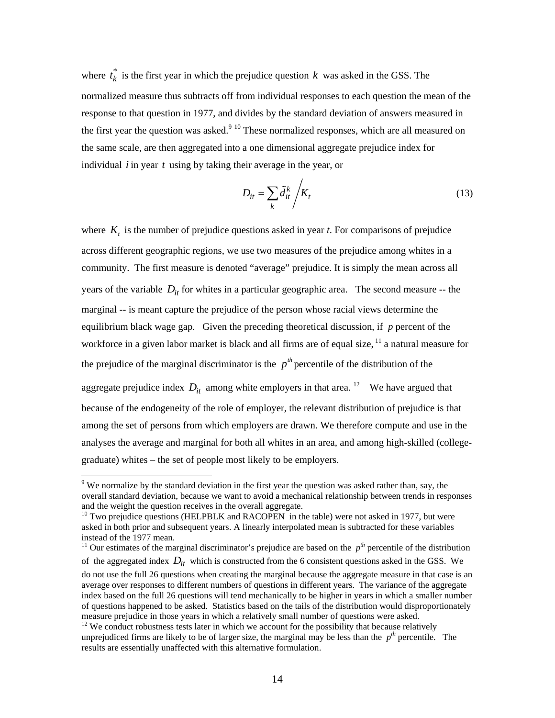where  $t_k^*$  is the first year in which the prejudice question k was asked in the GSS. The normalized measure thus subtracts off from individual responses to each question the mean of the response to that question in 1977, and divides by the standard deviation of answers measured in the first year the question was asked.<sup>9 10</sup> These normalized responses, which are all measured on the same scale, are then aggregated into a one dimensional aggregate prejudice index for individual *i* in year *t* using by taking their average in the year, or

$$
D_{it} = \sum_{k} \tilde{d}_{it}^{k} / K_{t}
$$
 (13)

where  $K_t$  is the number of prejudice questions asked in year *t*. For comparisons of prejudice across different geographic regions, we use two measures of the prejudice among whites in a community. The first measure is denoted "average" prejudice. It is simply the mean across all years of the variable  $D_{it}$  for whites in a particular geographic area. The second measure -- the marginal -- is meant capture the prejudice of the person whose racial views determine the equilibrium black wage gap. Given the preceding theoretical discussion, if *p* percent of the workforce in a given labor market is black and all firms are of equal size, <sup>11</sup> a natural measure for the prejudice of the marginal discriminator is the  $p^{th}$  percentile of the distribution of the aggregate prejudice index  $D_{it}$  among white employers in that area.<sup>12</sup> We have argued that because of the endogeneity of the role of employer, the relevant distribution of prejudice is that among the set of persons from which employers are drawn. We therefore compute and use in the analyses the average and marginal for both all whites in an area, and among high-skilled (collegegraduate) whites – the set of people most likely to be employers.

<sup>&</sup>lt;sup>9</sup> We normalize by the standard deviation in the first year the question was asked rather than, say, the overall standard deviation, because we want to avoid a mechanical relationship between trends in responses and the weight the question receives in the overall aggregate.<br><sup>10</sup> Two prejudice questions (HELPBLK and RACOPEN in the table) were not asked in 1977, but were

asked in both prior and subsequent years. A linearly interpolated mean is subtracted for these variables instead of the 1977 mean.

<sup>&</sup>lt;sup>11</sup> Our estimates of the marginal discriminator's prejudice are based on the  $p<sup>th</sup>$  percentile of the distribution of the aggregated index  $D_{it}$  which is constructed from the 6 consistent questions asked in the GSS. We

do not use the full 26 questions when creating the marginal because the aggregate measure in that case is an average over responses to different numbers of questions in different years. The variance of the aggregate index based on the full 26 questions will tend mechanically to be higher in years in which a smaller number of questions happened to be asked. Statistics based on the tails of the distribution would disproportionately measure prejudice in those years in which a relatively small number of questions were asked.

 $12$  We conduct robustness tests later in which we account for the possibility that because relatively unprejudiced firms are likely to be of larger size, the marginal may be less than the  $p^{th}$  percentile. The results are essentially unaffected with this alternative formulation.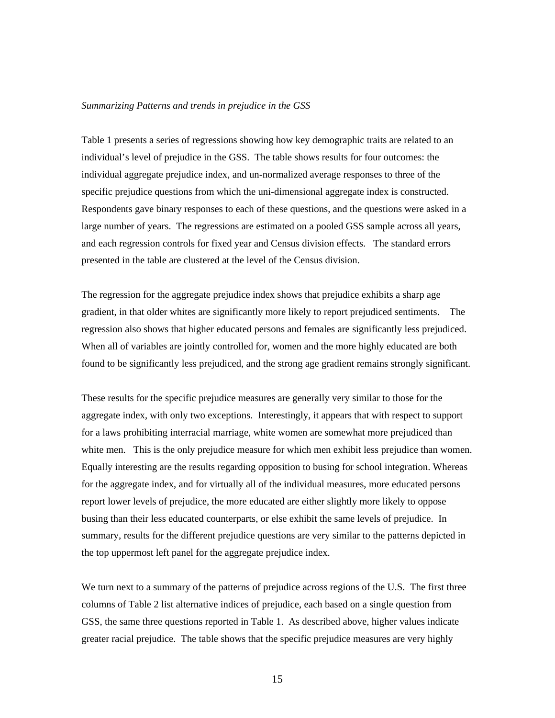#### *Summarizing Patterns and trends in prejudice in the GSS*

Table 1 presents a series of regressions showing how key demographic traits are related to an individual's level of prejudice in the GSS. The table shows results for four outcomes: the individual aggregate prejudice index, and un-normalized average responses to three of the specific prejudice questions from which the uni-dimensional aggregate index is constructed. Respondents gave binary responses to each of these questions, and the questions were asked in a large number of years. The regressions are estimated on a pooled GSS sample across all years, and each regression controls for fixed year and Census division effects. The standard errors presented in the table are clustered at the level of the Census division.

The regression for the aggregate prejudice index shows that prejudice exhibits a sharp age gradient, in that older whites are significantly more likely to report prejudiced sentiments. The regression also shows that higher educated persons and females are significantly less prejudiced. When all of variables are jointly controlled for, women and the more highly educated are both found to be significantly less prejudiced, and the strong age gradient remains strongly significant.

These results for the specific prejudice measures are generally very similar to those for the aggregate index, with only two exceptions. Interestingly, it appears that with respect to support for a laws prohibiting interracial marriage, white women are somewhat more prejudiced than white men. This is the only prejudice measure for which men exhibit less prejudice than women. Equally interesting are the results regarding opposition to busing for school integration. Whereas for the aggregate index, and for virtually all of the individual measures, more educated persons report lower levels of prejudice, the more educated are either slightly more likely to oppose busing than their less educated counterparts, or else exhibit the same levels of prejudice. In summary, results for the different prejudice questions are very similar to the patterns depicted in the top uppermost left panel for the aggregate prejudice index.

We turn next to a summary of the patterns of prejudice across regions of the U.S. The first three columns of Table 2 list alternative indices of prejudice, each based on a single question from GSS, the same three questions reported in Table 1. As described above, higher values indicate greater racial prejudice. The table shows that the specific prejudice measures are very highly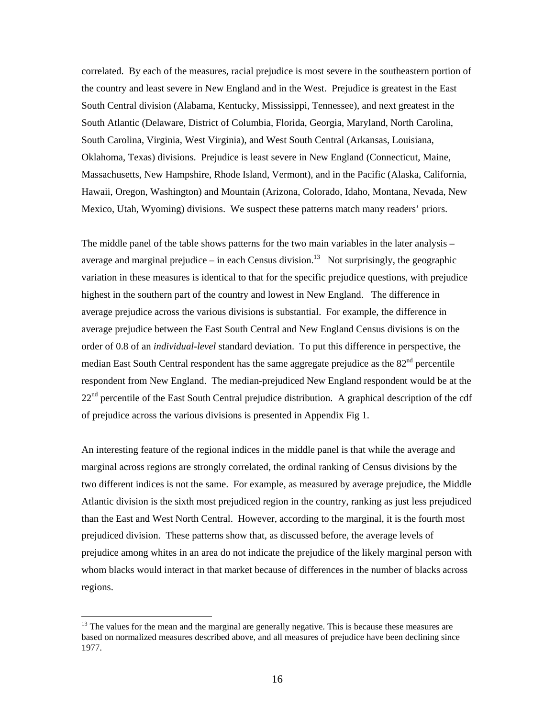correlated. By each of the measures, racial prejudice is most severe in the southeastern portion of the country and least severe in New England and in the West. Prejudice is greatest in the East South Central division (Alabama, Kentucky, Mississippi, Tennessee), and next greatest in the South Atlantic (Delaware, District of Columbia, Florida, Georgia, Maryland, North Carolina, South Carolina, Virginia, West Virginia), and West South Central (Arkansas, Louisiana, Oklahoma, Texas) divisions. Prejudice is least severe in New England (Connecticut, Maine, Massachusetts, New Hampshire, Rhode Island, Vermont), and in the Pacific (Alaska, California, Hawaii, Oregon, Washington) and Mountain (Arizona, Colorado, Idaho, Montana, Nevada, New Mexico, Utah, Wyoming) divisions. We suspect these patterns match many readers' priors.

The middle panel of the table shows patterns for the two main variables in the later analysis – average and marginal prejudice – in each Census division.<sup>13</sup> Not surprisingly, the geographic variation in these measures is identical to that for the specific prejudice questions, with prejudice highest in the southern part of the country and lowest in New England. The difference in average prejudice across the various divisions is substantial. For example, the difference in average prejudice between the East South Central and New England Census divisions is on the order of 0.8 of an *individual-level* standard deviation. To put this difference in perspective, the median East South Central respondent has the same aggregate prejudice as the  $82<sup>nd</sup>$  percentile respondent from New England. The median-prejudiced New England respondent would be at the  $22<sup>nd</sup>$  percentile of the East South Central prejudice distribution. A graphical description of the cdf of prejudice across the various divisions is presented in Appendix Fig 1.

An interesting feature of the regional indices in the middle panel is that while the average and marginal across regions are strongly correlated, the ordinal ranking of Census divisions by the two different indices is not the same. For example, as measured by average prejudice, the Middle Atlantic division is the sixth most prejudiced region in the country, ranking as just less prejudiced than the East and West North Central. However, according to the marginal, it is the fourth most prejudiced division. These patterns show that, as discussed before, the average levels of prejudice among whites in an area do not indicate the prejudice of the likely marginal person with whom blacks would interact in that market because of differences in the number of blacks across regions.

<sup>&</sup>lt;sup>13</sup> The values for the mean and the marginal are generally negative. This is because these measures are based on normalized measures described above, and all measures of prejudice have been declining since 1977.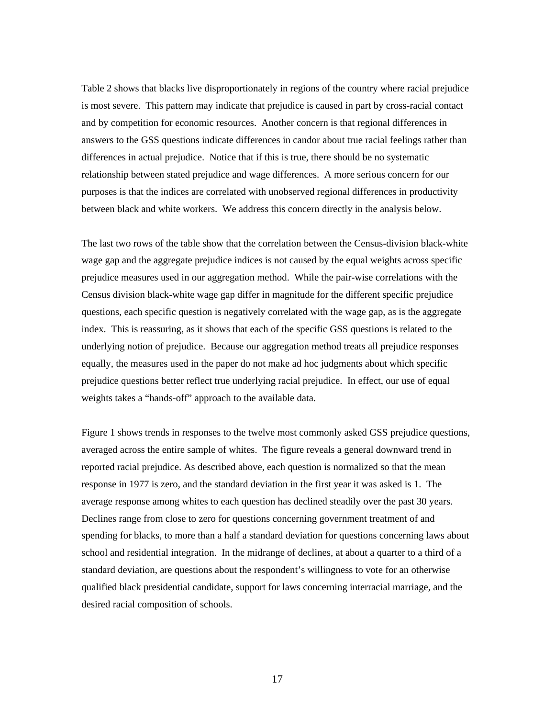Table 2 shows that blacks live disproportionately in regions of the country where racial prejudice is most severe. This pattern may indicate that prejudice is caused in part by cross-racial contact and by competition for economic resources. Another concern is that regional differences in answers to the GSS questions indicate differences in candor about true racial feelings rather than differences in actual prejudice. Notice that if this is true, there should be no systematic relationship between stated prejudice and wage differences. A more serious concern for our purposes is that the indices are correlated with unobserved regional differences in productivity between black and white workers. We address this concern directly in the analysis below.

The last two rows of the table show that the correlation between the Census-division black-white wage gap and the aggregate prejudice indices is not caused by the equal weights across specific prejudice measures used in our aggregation method. While the pair-wise correlations with the Census division black-white wage gap differ in magnitude for the different specific prejudice questions, each specific question is negatively correlated with the wage gap, as is the aggregate index. This is reassuring, as it shows that each of the specific GSS questions is related to the underlying notion of prejudice. Because our aggregation method treats all prejudice responses equally, the measures used in the paper do not make ad hoc judgments about which specific prejudice questions better reflect true underlying racial prejudice. In effect, our use of equal weights takes a "hands-off" approach to the available data.

Figure 1 shows trends in responses to the twelve most commonly asked GSS prejudice questions, averaged across the entire sample of whites. The figure reveals a general downward trend in reported racial prejudice. As described above, each question is normalized so that the mean response in 1977 is zero, and the standard deviation in the first year it was asked is 1. The average response among whites to each question has declined steadily over the past 30 years. Declines range from close to zero for questions concerning government treatment of and spending for blacks, to more than a half a standard deviation for questions concerning laws about school and residential integration. In the midrange of declines, at about a quarter to a third of a standard deviation, are questions about the respondent's willingness to vote for an otherwise qualified black presidential candidate, support for laws concerning interracial marriage, and the desired racial composition of schools.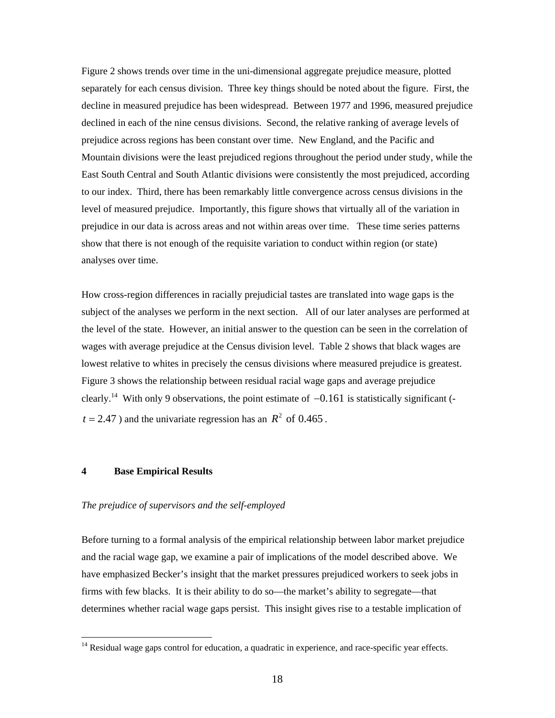Figure 2 shows trends over time in the uni-dimensional aggregate prejudice measure, plotted separately for each census division. Three key things should be noted about the figure. First, the decline in measured prejudice has been widespread. Between 1977 and 1996, measured prejudice declined in each of the nine census divisions. Second, the relative ranking of average levels of prejudice across regions has been constant over time. New England, and the Pacific and Mountain divisions were the least prejudiced regions throughout the period under study, while the East South Central and South Atlantic divisions were consistently the most prejudiced, according to our index. Third, there has been remarkably little convergence across census divisions in the level of measured prejudice. Importantly, this figure shows that virtually all of the variation in prejudice in our data is across areas and not within areas over time. These time series patterns show that there is not enough of the requisite variation to conduct within region (or state) analyses over time.

How cross-region differences in racially prejudicial tastes are translated into wage gaps is the subject of the analyses we perform in the next section. All of our later analyses are performed at the level of the state. However, an initial answer to the question can be seen in the correlation of wages with average prejudice at the Census division level. Table 2 shows that black wages are lowest relative to whites in precisely the census divisions where measured prejudice is greatest. Figure 3 shows the relationship between residual racial wage gaps and average prejudice clearly.<sup>14</sup> With only 9 observations, the point estimate of  $-0.161$  is statistically significant ( $t = 2.47$ ) and the univariate regression has an  $R^2$  of 0.465.

# **4 Base Empirical Results**

 $\overline{a}$ 

#### *The prejudice of supervisors and the self-employed*

Before turning to a formal analysis of the empirical relationship between labor market prejudice and the racial wage gap, we examine a pair of implications of the model described above. We have emphasized Becker's insight that the market pressures prejudiced workers to seek jobs in firms with few blacks. It is their ability to do so—the market's ability to segregate—that determines whether racial wage gaps persist. This insight gives rise to a testable implication of

<sup>&</sup>lt;sup>14</sup> Residual wage gaps control for education, a quadratic in experience, and race-specific year effects.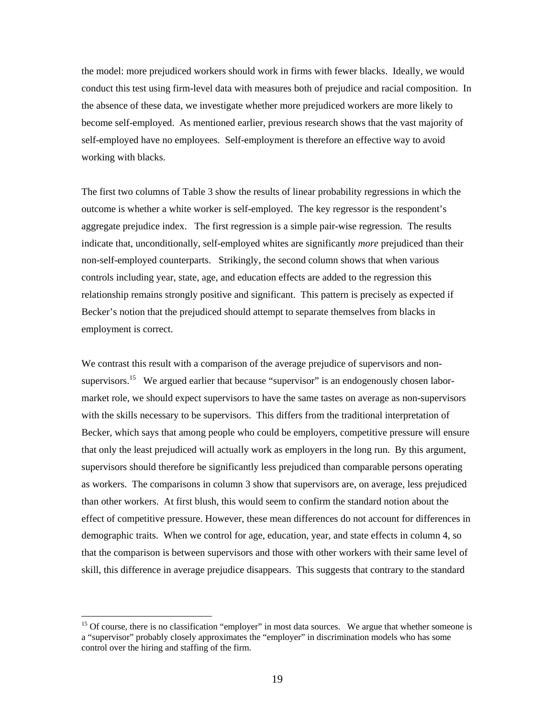the model: more prejudiced workers should work in firms with fewer blacks. Ideally, we would conduct this test using firm-level data with measures both of prejudice and racial composition. In the absence of these data, we investigate whether more prejudiced workers are more likely to become self-employed. As mentioned earlier, previous research shows that the vast majority of self-employed have no employees. Self-employment is therefore an effective way to avoid working with blacks.

The first two columns of Table 3 show the results of linear probability regressions in which the outcome is whether a white worker is self-employed. The key regressor is the respondent's aggregate prejudice index. The first regression is a simple pair-wise regression. The results indicate that, unconditionally, self-employed whites are significantly *more* prejudiced than their non-self-employed counterparts. Strikingly, the second column shows that when various controls including year, state, age, and education effects are added to the regression this relationship remains strongly positive and significant. This pattern is precisely as expected if Becker's notion that the prejudiced should attempt to separate themselves from blacks in employment is correct.

We contrast this result with a comparison of the average prejudice of supervisors and nonsupervisors.<sup>15</sup> We argued earlier that because "supervisor" is an endogenously chosen labormarket role, we should expect supervisors to have the same tastes on average as non-supervisors with the skills necessary to be supervisors. This differs from the traditional interpretation of Becker, which says that among people who could be employers, competitive pressure will ensure that only the least prejudiced will actually work as employers in the long run. By this argument, supervisors should therefore be significantly less prejudiced than comparable persons operating as workers. The comparisons in column 3 show that supervisors are, on average, less prejudiced than other workers. At first blush, this would seem to confirm the standard notion about the effect of competitive pressure. However, these mean differences do not account for differences in demographic traits. When we control for age, education, year, and state effects in column 4, so that the comparison is between supervisors and those with other workers with their same level of skill, this difference in average prejudice disappears. This suggests that contrary to the standard

<sup>&</sup>lt;sup>15</sup> Of course, there is no classification "employer" in most data sources. We argue that whether someone is a "supervisor" probably closely approximates the "employer" in discrimination models who has some control over the hiring and staffing of the firm.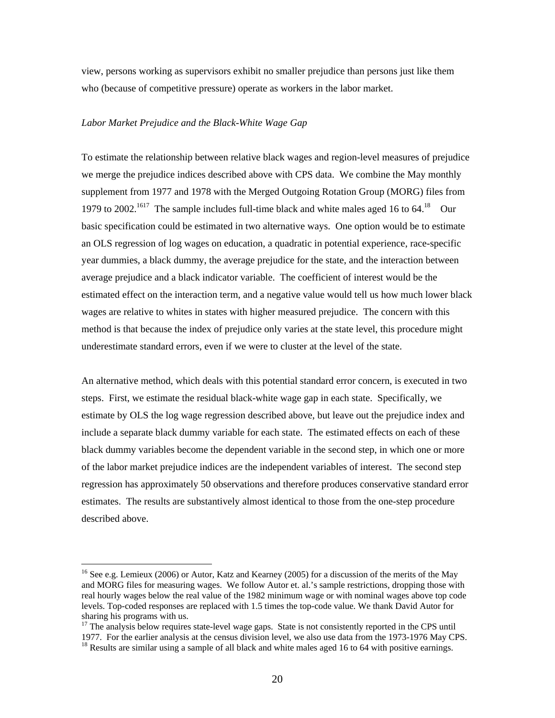view, persons working as supervisors exhibit no smaller prejudice than persons just like them who (because of competitive pressure) operate as workers in the labor market.

## *Labor Market Prejudice and the Black-White Wage Gap*

To estimate the relationship between relative black wages and region-level measures of prejudice we merge the prejudice indices described above with CPS data. We combine the May monthly supplement from 1977 and 1978 with the Merged Outgoing Rotation Group (MORG) files from 1979 to 2002.<sup>1617</sup> The sample includes full-time black and white males aged 16 to  $64$ .<sup>18</sup> Our basic specification could be estimated in two alternative ways. One option would be to estimate an OLS regression of log wages on education, a quadratic in potential experience, race-specific year dummies, a black dummy, the average prejudice for the state, and the interaction between average prejudice and a black indicator variable. The coefficient of interest would be the estimated effect on the interaction term, and a negative value would tell us how much lower black wages are relative to whites in states with higher measured prejudice. The concern with this method is that because the index of prejudice only varies at the state level, this procedure might underestimate standard errors, even if we were to cluster at the level of the state.

An alternative method, which deals with this potential standard error concern, is executed in two steps. First, we estimate the residual black-white wage gap in each state. Specifically, we estimate by OLS the log wage regression described above, but leave out the prejudice index and include a separate black dummy variable for each state. The estimated effects on each of these black dummy variables become the dependent variable in the second step, in which one or more of the labor market prejudice indices are the independent variables of interest. The second step regression has approximately 50 observations and therefore produces conservative standard error estimates. The results are substantively almost identical to those from the one-step procedure described above.

<sup>&</sup>lt;sup>16</sup> See e.g. Lemieux (2006) or Autor, Katz and Kearney (2005) for a discussion of the merits of the May and MORG files for measuring wages. We follow Autor et. al.'s sample restrictions, dropping those with real hourly wages below the real value of the 1982 minimum wage or with nominal wages above top code levels. Top-coded responses are replaced with 1.5 times the top-code value. We thank David Autor for sharing his programs with us.

<sup>&</sup>lt;sup>17</sup> The analysis below requires state-level wage gaps. State is not consistently reported in the CPS until 1977. For the earlier analysis at the census division level, we also use data from the 1973-1976 May CPS. 18 Results are similar using a sample of all black and white males aged 16 to 64 with positive earnings.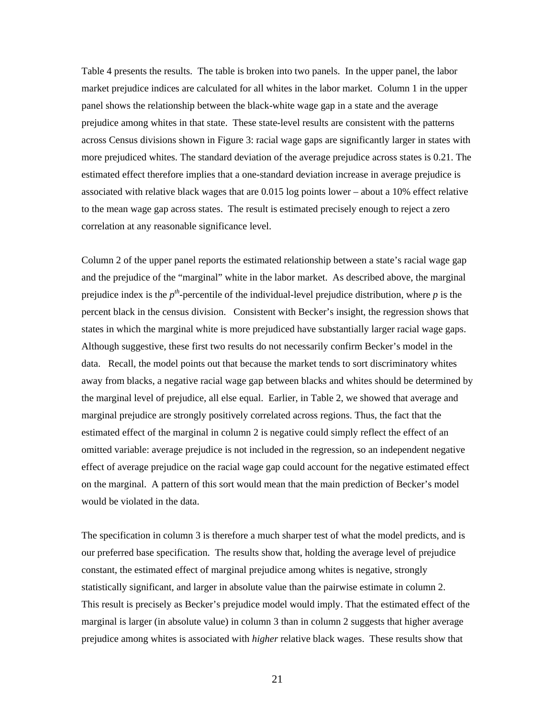Table 4 presents the results. The table is broken into two panels. In the upper panel, the labor market prejudice indices are calculated for all whites in the labor market. Column 1 in the upper panel shows the relationship between the black-white wage gap in a state and the average prejudice among whites in that state. These state-level results are consistent with the patterns across Census divisions shown in Figure 3: racial wage gaps are significantly larger in states with more prejudiced whites. The standard deviation of the average prejudice across states is 0.21. The estimated effect therefore implies that a one-standard deviation increase in average prejudice is associated with relative black wages that are 0.015 log points lower – about a 10% effect relative to the mean wage gap across states. The result is estimated precisely enough to reject a zero correlation at any reasonable significance level.

Column 2 of the upper panel reports the estimated relationship between a state's racial wage gap and the prejudice of the "marginal" white in the labor market. As described above, the marginal prejudice index is the  $p^{th}$ -percentile of the individual-level prejudice distribution, where  $p$  is the percent black in the census division. Consistent with Becker's insight, the regression shows that states in which the marginal white is more prejudiced have substantially larger racial wage gaps. Although suggestive, these first two results do not necessarily confirm Becker's model in the data. Recall, the model points out that because the market tends to sort discriminatory whites away from blacks, a negative racial wage gap between blacks and whites should be determined by the marginal level of prejudice, all else equal. Earlier, in Table 2, we showed that average and marginal prejudice are strongly positively correlated across regions. Thus, the fact that the estimated effect of the marginal in column 2 is negative could simply reflect the effect of an omitted variable: average prejudice is not included in the regression, so an independent negative effect of average prejudice on the racial wage gap could account for the negative estimated effect on the marginal. A pattern of this sort would mean that the main prediction of Becker's model would be violated in the data.

The specification in column 3 is therefore a much sharper test of what the model predicts, and is our preferred base specification. The results show that, holding the average level of prejudice constant, the estimated effect of marginal prejudice among whites is negative, strongly statistically significant, and larger in absolute value than the pairwise estimate in column 2. This result is precisely as Becker's prejudice model would imply. That the estimated effect of the marginal is larger (in absolute value) in column 3 than in column 2 suggests that higher average prejudice among whites is associated with *higher* relative black wages. These results show that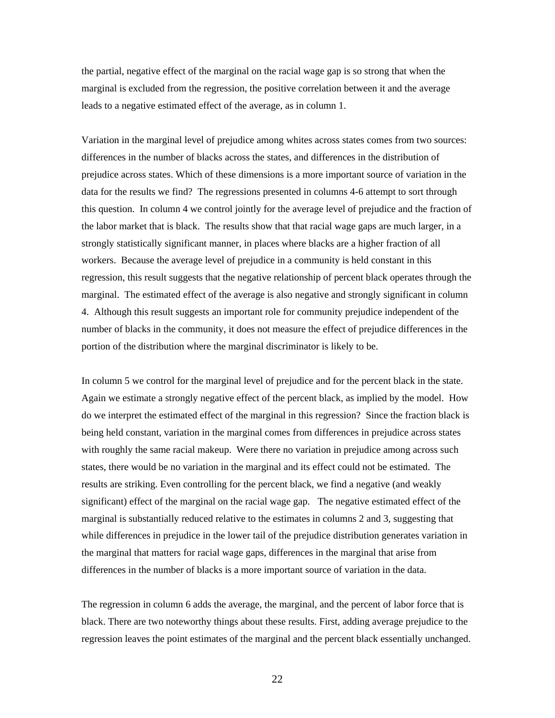the partial, negative effect of the marginal on the racial wage gap is so strong that when the marginal is excluded from the regression, the positive correlation between it and the average leads to a negative estimated effect of the average, as in column 1.

Variation in the marginal level of prejudice among whites across states comes from two sources: differences in the number of blacks across the states, and differences in the distribution of prejudice across states. Which of these dimensions is a more important source of variation in the data for the results we find? The regressions presented in columns 4-6 attempt to sort through this question. In column 4 we control jointly for the average level of prejudice and the fraction of the labor market that is black. The results show that that racial wage gaps are much larger, in a strongly statistically significant manner, in places where blacks are a higher fraction of all workers. Because the average level of prejudice in a community is held constant in this regression, this result suggests that the negative relationship of percent black operates through the marginal. The estimated effect of the average is also negative and strongly significant in column 4. Although this result suggests an important role for community prejudice independent of the number of blacks in the community, it does not measure the effect of prejudice differences in the portion of the distribution where the marginal discriminator is likely to be.

In column 5 we control for the marginal level of prejudice and for the percent black in the state. Again we estimate a strongly negative effect of the percent black, as implied by the model. How do we interpret the estimated effect of the marginal in this regression? Since the fraction black is being held constant, variation in the marginal comes from differences in prejudice across states with roughly the same racial makeup. Were there no variation in prejudice among across such states, there would be no variation in the marginal and its effect could not be estimated. The results are striking. Even controlling for the percent black, we find a negative (and weakly significant) effect of the marginal on the racial wage gap. The negative estimated effect of the marginal is substantially reduced relative to the estimates in columns 2 and 3, suggesting that while differences in prejudice in the lower tail of the prejudice distribution generates variation in the marginal that matters for racial wage gaps, differences in the marginal that arise from differences in the number of blacks is a more important source of variation in the data.

The regression in column 6 adds the average, the marginal, and the percent of labor force that is black. There are two noteworthy things about these results. First, adding average prejudice to the regression leaves the point estimates of the marginal and the percent black essentially unchanged.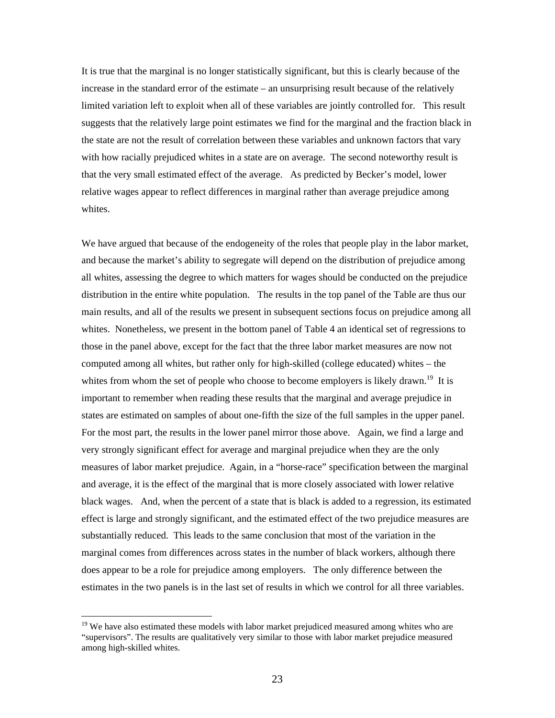It is true that the marginal is no longer statistically significant, but this is clearly because of the increase in the standard error of the estimate – an unsurprising result because of the relatively limited variation left to exploit when all of these variables are jointly controlled for. This result suggests that the relatively large point estimates we find for the marginal and the fraction black in the state are not the result of correlation between these variables and unknown factors that vary with how racially prejudiced whites in a state are on average. The second noteworthy result is that the very small estimated effect of the average. As predicted by Becker's model, lower relative wages appear to reflect differences in marginal rather than average prejudice among whites.

We have argued that because of the endogeneity of the roles that people play in the labor market, and because the market's ability to segregate will depend on the distribution of prejudice among all whites, assessing the degree to which matters for wages should be conducted on the prejudice distribution in the entire white population. The results in the top panel of the Table are thus our main results, and all of the results we present in subsequent sections focus on prejudice among all whites. Nonetheless, we present in the bottom panel of Table 4 an identical set of regressions to those in the panel above, except for the fact that the three labor market measures are now not computed among all whites, but rather only for high-skilled (college educated) whites – the whites from whom the set of people who choose to become employers is likely drawn.<sup>19</sup> It is important to remember when reading these results that the marginal and average prejudice in states are estimated on samples of about one-fifth the size of the full samples in the upper panel. For the most part, the results in the lower panel mirror those above. Again, we find a large and very strongly significant effect for average and marginal prejudice when they are the only measures of labor market prejudice. Again, in a "horse-race" specification between the marginal and average, it is the effect of the marginal that is more closely associated with lower relative black wages. And, when the percent of a state that is black is added to a regression, its estimated effect is large and strongly significant, and the estimated effect of the two prejudice measures are substantially reduced. This leads to the same conclusion that most of the variation in the marginal comes from differences across states in the number of black workers, although there does appear to be a role for prejudice among employers. The only difference between the estimates in the two panels is in the last set of results in which we control for all three variables.

<sup>&</sup>lt;sup>19</sup> We have also estimated these models with labor market prejudiced measured among whites who are "supervisors". The results are qualitatively very similar to those with labor market prejudice measured among high-skilled whites.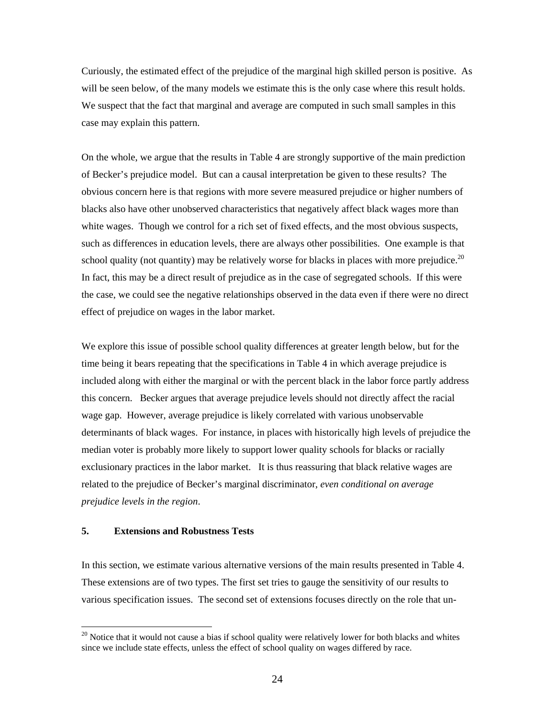Curiously, the estimated effect of the prejudice of the marginal high skilled person is positive. As will be seen below, of the many models we estimate this is the only case where this result holds. We suspect that the fact that marginal and average are computed in such small samples in this case may explain this pattern.

On the whole, we argue that the results in Table 4 are strongly supportive of the main prediction of Becker's prejudice model. But can a causal interpretation be given to these results? The obvious concern here is that regions with more severe measured prejudice or higher numbers of blacks also have other unobserved characteristics that negatively affect black wages more than white wages. Though we control for a rich set of fixed effects, and the most obvious suspects, such as differences in education levels, there are always other possibilities. One example is that school quality (not quantity) may be relatively worse for blacks in places with more prejudice.<sup>20</sup> In fact, this may be a direct result of prejudice as in the case of segregated schools. If this were the case, we could see the negative relationships observed in the data even if there were no direct effect of prejudice on wages in the labor market.

We explore this issue of possible school quality differences at greater length below, but for the time being it bears repeating that the specifications in Table 4 in which average prejudice is included along with either the marginal or with the percent black in the labor force partly address this concern. Becker argues that average prejudice levels should not directly affect the racial wage gap. However, average prejudice is likely correlated with various unobservable determinants of black wages. For instance, in places with historically high levels of prejudice the median voter is probably more likely to support lower quality schools for blacks or racially exclusionary practices in the labor market. It is thus reassuring that black relative wages are related to the prejudice of Becker's marginal discriminator, *even conditional on average prejudice levels in the region*.

## **5. Extensions and Robustness Tests**

 $\overline{a}$ 

In this section, we estimate various alternative versions of the main results presented in Table 4. These extensions are of two types. The first set tries to gauge the sensitivity of our results to various specification issues. The second set of extensions focuses directly on the role that un-

<sup>&</sup>lt;sup>20</sup> Notice that it would not cause a bias if school quality were relatively lower for both blacks and whites since we include state effects, unless the effect of school quality on wages differed by race.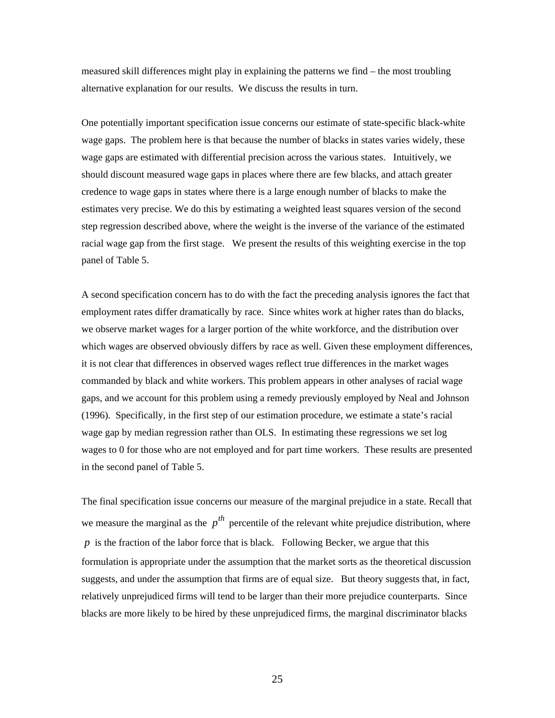measured skill differences might play in explaining the patterns we find – the most troubling alternative explanation for our results. We discuss the results in turn.

One potentially important specification issue concerns our estimate of state-specific black-white wage gaps. The problem here is that because the number of blacks in states varies widely, these wage gaps are estimated with differential precision across the various states. Intuitively, we should discount measured wage gaps in places where there are few blacks, and attach greater credence to wage gaps in states where there is a large enough number of blacks to make the estimates very precise. We do this by estimating a weighted least squares version of the second step regression described above, where the weight is the inverse of the variance of the estimated racial wage gap from the first stage. We present the results of this weighting exercise in the top panel of Table 5.

A second specification concern has to do with the fact the preceding analysis ignores the fact that employment rates differ dramatically by race. Since whites work at higher rates than do blacks, we observe market wages for a larger portion of the white workforce, and the distribution over which wages are observed obviously differs by race as well. Given these employment differences, it is not clear that differences in observed wages reflect true differences in the market wages commanded by black and white workers. This problem appears in other analyses of racial wage gaps, and we account for this problem using a remedy previously employed by Neal and Johnson (1996). Specifically, in the first step of our estimation procedure, we estimate a state's racial wage gap by median regression rather than OLS. In estimating these regressions we set log wages to 0 for those who are not employed and for part time workers. These results are presented in the second panel of Table 5.

The final specification issue concerns our measure of the marginal prejudice in a state. Recall that we measure the marginal as the  $p^{th}$  percentile of the relevant white prejudice distribution, where *p* is the fraction of the labor force that is black. Following Becker, we argue that this formulation is appropriate under the assumption that the market sorts as the theoretical discussion suggests, and under the assumption that firms are of equal size. But theory suggests that, in fact, relatively unprejudiced firms will tend to be larger than their more prejudice counterparts. Since blacks are more likely to be hired by these unprejudiced firms, the marginal discriminator blacks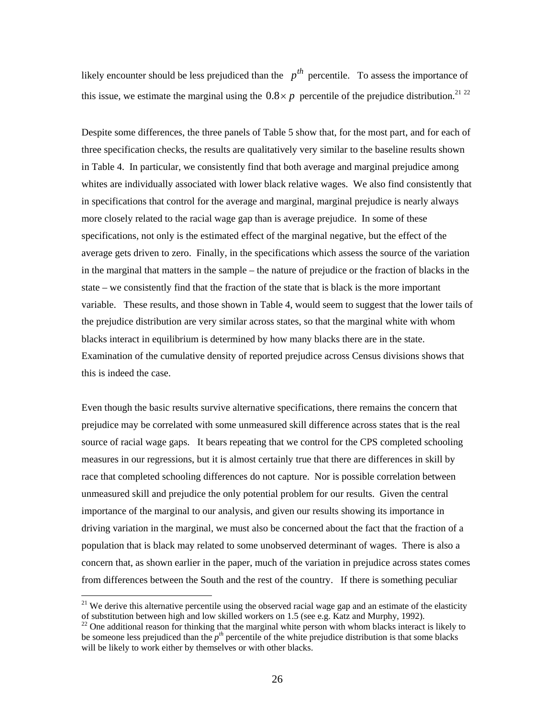likely encounter should be less prejudiced than the  $p^{th}$  percentile. To assess the importance of this issue, we estimate the marginal using the  $0.8 \times p$  percentile of the prejudice distribution.<sup>21 22</sup>

Despite some differences, the three panels of Table 5 show that, for the most part, and for each of three specification checks, the results are qualitatively very similar to the baseline results shown in Table 4. In particular, we consistently find that both average and marginal prejudice among whites are individually associated with lower black relative wages. We also find consistently that in specifications that control for the average and marginal, marginal prejudice is nearly always more closely related to the racial wage gap than is average prejudice. In some of these specifications, not only is the estimated effect of the marginal negative, but the effect of the average gets driven to zero. Finally, in the specifications which assess the source of the variation in the marginal that matters in the sample – the nature of prejudice or the fraction of blacks in the state – we consistently find that the fraction of the state that is black is the more important variable. These results, and those shown in Table 4, would seem to suggest that the lower tails of the prejudice distribution are very similar across states, so that the marginal white with whom blacks interact in equilibrium is determined by how many blacks there are in the state. Examination of the cumulative density of reported prejudice across Census divisions shows that this is indeed the case.

Even though the basic results survive alternative specifications, there remains the concern that prejudice may be correlated with some unmeasured skill difference across states that is the real source of racial wage gaps. It bears repeating that we control for the CPS completed schooling measures in our regressions, but it is almost certainly true that there are differences in skill by race that completed schooling differences do not capture. Nor is possible correlation between unmeasured skill and prejudice the only potential problem for our results. Given the central importance of the marginal to our analysis, and given our results showing its importance in driving variation in the marginal, we must also be concerned about the fact that the fraction of a population that is black may related to some unobserved determinant of wages. There is also a concern that, as shown earlier in the paper, much of the variation in prejudice across states comes from differences between the South and the rest of the country. If there is something peculiar

<sup>&</sup>lt;sup>21</sup> We derive this alternative percentile using the observed racial wage gap and an estimate of the elasticity of substitution between high and low skilled workers on 1.5 (see e.g. Katz and Murphy, 1992).<br><sup>22</sup> One additional reason for thinking that the marginal white person with whom blacks interact is likely to

be someone less prejudiced than the  $p^{th}$  percentile of the white prejudice distribution is that some blacks will be likely to work either by themselves or with other blacks.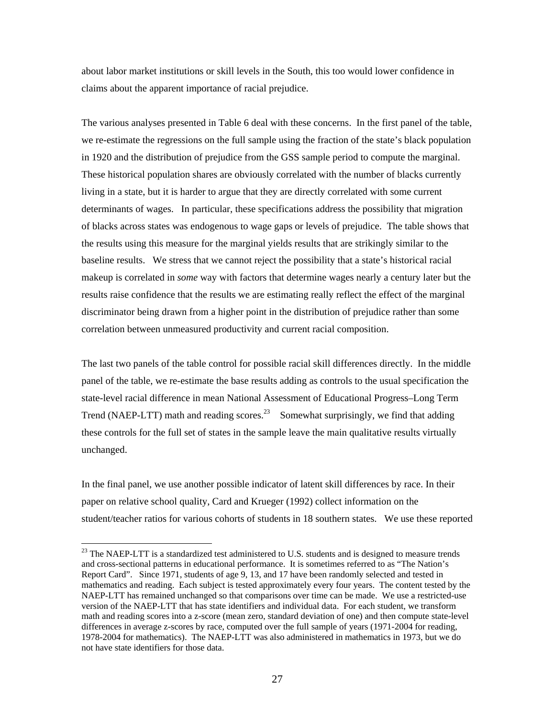about labor market institutions or skill levels in the South, this too would lower confidence in claims about the apparent importance of racial prejudice.

The various analyses presented in Table 6 deal with these concerns. In the first panel of the table, we re-estimate the regressions on the full sample using the fraction of the state's black population in 1920 and the distribution of prejudice from the GSS sample period to compute the marginal. These historical population shares are obviously correlated with the number of blacks currently living in a state, but it is harder to argue that they are directly correlated with some current determinants of wages. In particular, these specifications address the possibility that migration of blacks across states was endogenous to wage gaps or levels of prejudice. The table shows that the results using this measure for the marginal yields results that are strikingly similar to the baseline results. We stress that we cannot reject the possibility that a state's historical racial makeup is correlated in *some* way with factors that determine wages nearly a century later but the results raise confidence that the results we are estimating really reflect the effect of the marginal discriminator being drawn from a higher point in the distribution of prejudice rather than some correlation between unmeasured productivity and current racial composition.

The last two panels of the table control for possible racial skill differences directly. In the middle panel of the table, we re-estimate the base results adding as controls to the usual specification the state-level racial difference in mean National Assessment of Educational Progress–Long Term Trend (NAEP-LTT) math and reading scores.<sup>23</sup> Somewhat surprisingly, we find that adding these controls for the full set of states in the sample leave the main qualitative results virtually unchanged.

In the final panel, we use another possible indicator of latent skill differences by race. In their paper on relative school quality, Card and Krueger (1992) collect information on the student/teacher ratios for various cohorts of students in 18 southern states. We use these reported

 $^{23}$  The NAEP-LTT is a standardized test administered to U.S. students and is designed to measure trends and cross-sectional patterns in educational performance. It is sometimes referred to as "The Nation's Report Card". Since 1971, students of age 9, 13, and 17 have been randomly selected and tested in mathematics and reading. Each subject is tested approximately every four years. The content tested by the NAEP-LTT has remained unchanged so that comparisons over time can be made. We use a restricted-use version of the NAEP-LTT that has state identifiers and individual data. For each student, we transform math and reading scores into a z-score (mean zero, standard deviation of one) and then compute state-level differences in average z-scores by race, computed over the full sample of years (1971-2004 for reading, 1978-2004 for mathematics). The NAEP-LTT was also administered in mathematics in 1973, but we do not have state identifiers for those data.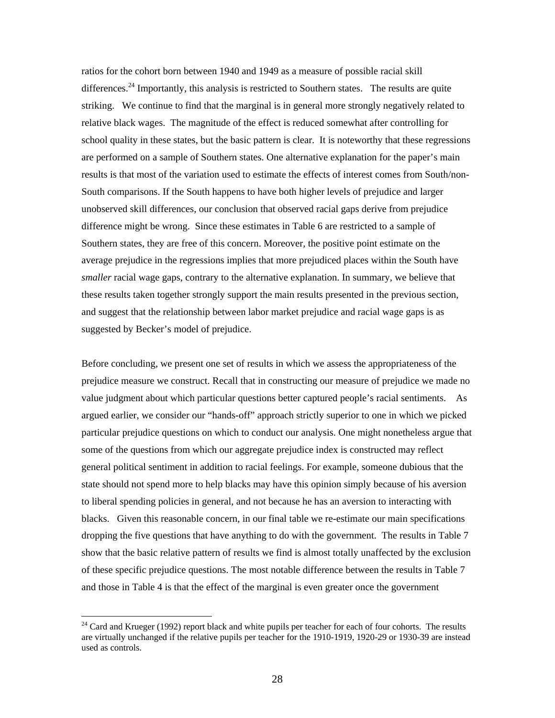ratios for the cohort born between 1940 and 1949 as a measure of possible racial skill differences.<sup>24</sup> Importantly, this analysis is restricted to Southern states. The results are quite striking. We continue to find that the marginal is in general more strongly negatively related to relative black wages. The magnitude of the effect is reduced somewhat after controlling for school quality in these states, but the basic pattern is clear. It is noteworthy that these regressions are performed on a sample of Southern states. One alternative explanation for the paper's main results is that most of the variation used to estimate the effects of interest comes from South/non-South comparisons. If the South happens to have both higher levels of prejudice and larger unobserved skill differences, our conclusion that observed racial gaps derive from prejudice difference might be wrong. Since these estimates in Table 6 are restricted to a sample of Southern states, they are free of this concern. Moreover, the positive point estimate on the average prejudice in the regressions implies that more prejudiced places within the South have *smaller* racial wage gaps, contrary to the alternative explanation. In summary, we believe that these results taken together strongly support the main results presented in the previous section, and suggest that the relationship between labor market prejudice and racial wage gaps is as suggested by Becker's model of prejudice.

Before concluding, we present one set of results in which we assess the appropriateness of the prejudice measure we construct. Recall that in constructing our measure of prejudice we made no value judgment about which particular questions better captured people's racial sentiments. As argued earlier, we consider our "hands-off" approach strictly superior to one in which we picked particular prejudice questions on which to conduct our analysis. One might nonetheless argue that some of the questions from which our aggregate prejudice index is constructed may reflect general political sentiment in addition to racial feelings. For example, someone dubious that the state should not spend more to help blacks may have this opinion simply because of his aversion to liberal spending policies in general, and not because he has an aversion to interacting with blacks. Given this reasonable concern, in our final table we re-estimate our main specifications dropping the five questions that have anything to do with the government. The results in Table 7 show that the basic relative pattern of results we find is almost totally unaffected by the exclusion of these specific prejudice questions. The most notable difference between the results in Table 7 and those in Table 4 is that the effect of the marginal is even greater once the government

<sup>&</sup>lt;sup>24</sup> Card and Krueger (1992) report black and white pupils per teacher for each of four cohorts. The results are virtually unchanged if the relative pupils per teacher for the 1910-1919, 1920-29 or 1930-39 are instead used as controls.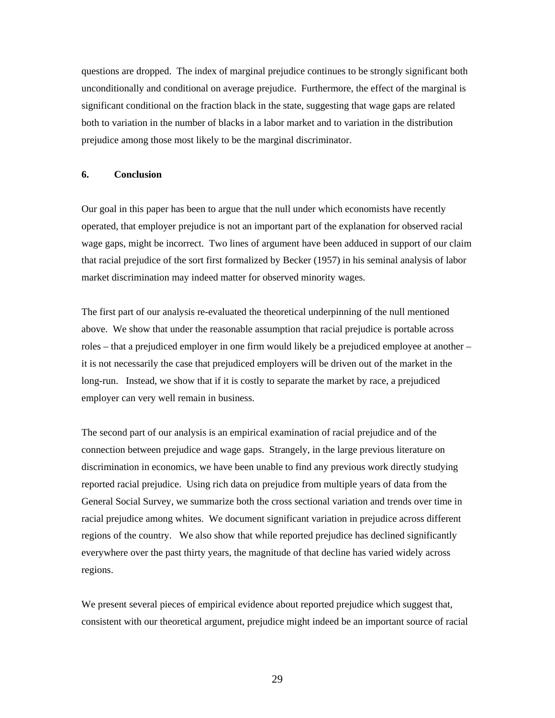questions are dropped. The index of marginal prejudice continues to be strongly significant both unconditionally and conditional on average prejudice. Furthermore, the effect of the marginal is significant conditional on the fraction black in the state, suggesting that wage gaps are related both to variation in the number of blacks in a labor market and to variation in the distribution prejudice among those most likely to be the marginal discriminator.

## **6. Conclusion**

Our goal in this paper has been to argue that the null under which economists have recently operated, that employer prejudice is not an important part of the explanation for observed racial wage gaps, might be incorrect. Two lines of argument have been adduced in support of our claim that racial prejudice of the sort first formalized by Becker (1957) in his seminal analysis of labor market discrimination may indeed matter for observed minority wages.

The first part of our analysis re-evaluated the theoretical underpinning of the null mentioned above. We show that under the reasonable assumption that racial prejudice is portable across roles – that a prejudiced employer in one firm would likely be a prejudiced employee at another – it is not necessarily the case that prejudiced employers will be driven out of the market in the long-run. Instead, we show that if it is costly to separate the market by race, a prejudiced employer can very well remain in business.

The second part of our analysis is an empirical examination of racial prejudice and of the connection between prejudice and wage gaps. Strangely, in the large previous literature on discrimination in economics, we have been unable to find any previous work directly studying reported racial prejudice. Using rich data on prejudice from multiple years of data from the General Social Survey, we summarize both the cross sectional variation and trends over time in racial prejudice among whites. We document significant variation in prejudice across different regions of the country. We also show that while reported prejudice has declined significantly everywhere over the past thirty years, the magnitude of that decline has varied widely across regions.

We present several pieces of empirical evidence about reported prejudice which suggest that, consistent with our theoretical argument, prejudice might indeed be an important source of racial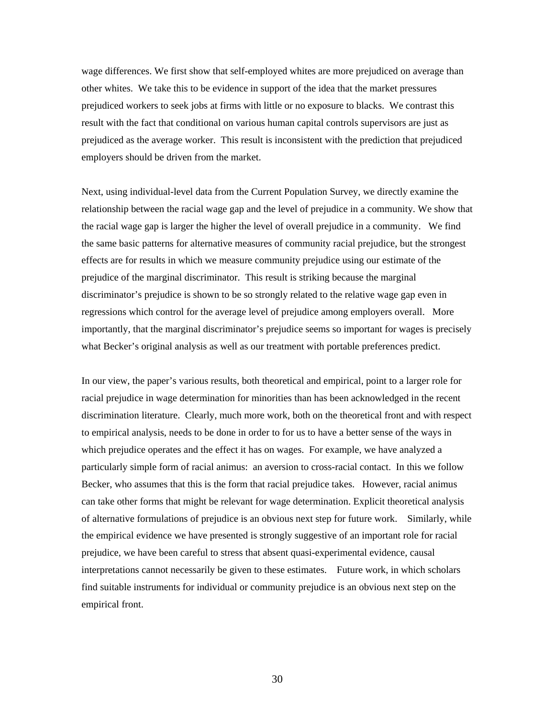wage differences. We first show that self-employed whites are more prejudiced on average than other whites. We take this to be evidence in support of the idea that the market pressures prejudiced workers to seek jobs at firms with little or no exposure to blacks. We contrast this result with the fact that conditional on various human capital controls supervisors are just as prejudiced as the average worker. This result is inconsistent with the prediction that prejudiced employers should be driven from the market.

Next, using individual-level data from the Current Population Survey, we directly examine the relationship between the racial wage gap and the level of prejudice in a community. We show that the racial wage gap is larger the higher the level of overall prejudice in a community. We find the same basic patterns for alternative measures of community racial prejudice, but the strongest effects are for results in which we measure community prejudice using our estimate of the prejudice of the marginal discriminator. This result is striking because the marginal discriminator's prejudice is shown to be so strongly related to the relative wage gap even in regressions which control for the average level of prejudice among employers overall. More importantly, that the marginal discriminator's prejudice seems so important for wages is precisely what Becker's original analysis as well as our treatment with portable preferences predict.

In our view, the paper's various results, both theoretical and empirical, point to a larger role for racial prejudice in wage determination for minorities than has been acknowledged in the recent discrimination literature. Clearly, much more work, both on the theoretical front and with respect to empirical analysis, needs to be done in order to for us to have a better sense of the ways in which prejudice operates and the effect it has on wages. For example, we have analyzed a particularly simple form of racial animus: an aversion to cross-racial contact. In this we follow Becker, who assumes that this is the form that racial prejudice takes. However, racial animus can take other forms that might be relevant for wage determination. Explicit theoretical analysis of alternative formulations of prejudice is an obvious next step for future work. Similarly, while the empirical evidence we have presented is strongly suggestive of an important role for racial prejudice, we have been careful to stress that absent quasi-experimental evidence, causal interpretations cannot necessarily be given to these estimates. Future work, in which scholars find suitable instruments for individual or community prejudice is an obvious next step on the empirical front.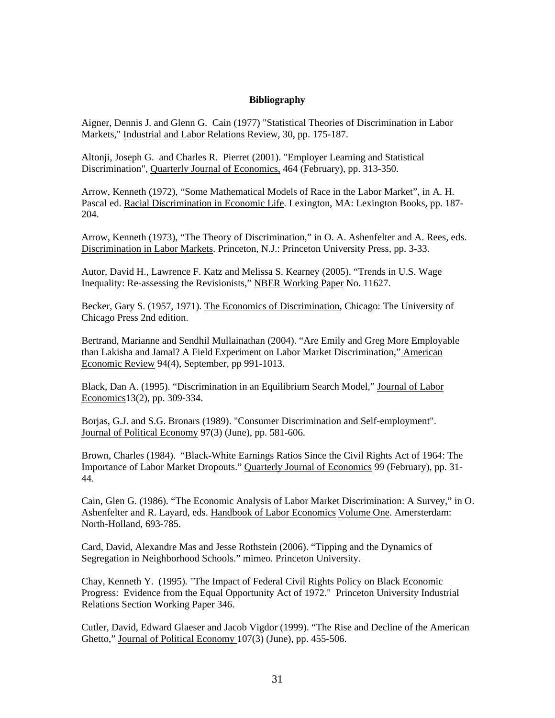### **Bibliography**

Aigner, Dennis J. and Glenn G. Cain (1977) "Statistical Theories of Discrimination in Labor Markets," Industrial and Labor Relations Review, 30, pp. 175-187.

Altonji, Joseph G. and Charles R. Pierret (2001). "Employer Learning and Statistical Discrimination", Quarterly Journal of Economics, 464 (February), pp. 313-350.

Arrow, Kenneth (1972), "Some Mathematical Models of Race in the Labor Market", in A. H. Pascal ed. Racial Discrimination in Economic Life. Lexington, MA: Lexington Books, pp. 187- 204.

Arrow, Kenneth (1973), "The Theory of Discrimination," in O. A. Ashenfelter and A. Rees, eds. Discrimination in Labor Markets. Princeton, N.J.: Princeton University Press, pp. 3-33.

Autor, David H., Lawrence F. Katz and Melissa S. Kearney (2005). "Trends in U.S. Wage Inequality: Re-assessing the Revisionists," NBER Working Paper No. 11627.

Becker, Gary S. (1957, 1971). The Economics of Discrimination, Chicago: The University of Chicago Press 2nd edition.

Bertrand, Marianne and Sendhil Mullainathan (2004). "Are Emily and Greg More Employable than Lakisha and Jamal? A Field Experiment on Labor Market Discrimination," American Economic Review 94(4), September, pp 991-1013.

Black, Dan A. (1995). "Discrimination in an Equilibrium Search Model," Journal of Labor Economics13(2), pp. 309-334.

Borjas, G.J. and S.G. Bronars (1989). "Consumer Discrimination and Self-employment". Journal of Political Economy 97(3) (June), pp. 581-606.

Brown, Charles (1984). "Black-White Earnings Ratios Since the Civil Rights Act of 1964: The Importance of Labor Market Dropouts." Quarterly Journal of Economics 99 (February), pp. 31- 44.

Cain, Glen G. (1986). "The Economic Analysis of Labor Market Discrimination: A Survey," in O. Ashenfelter and R. Layard, eds. Handbook of Labor Economics Volume One. Amersterdam: North-Holland, 693-785.

Card, David, Alexandre Mas and Jesse Rothstein (2006). "Tipping and the Dynamics of Segregation in Neighborhood Schools." mimeo. Princeton University.

Chay, Kenneth Y. (1995). "The Impact of Federal Civil Rights Policy on Black Economic Progress: Evidence from the Equal Opportunity Act of 1972." Princeton University Industrial Relations Section Working Paper 346.

Cutler, David, Edward Glaeser and Jacob Vigdor (1999). "The Rise and Decline of the American Ghetto," Journal of Political Economy 107(3) (June), pp. 455-506.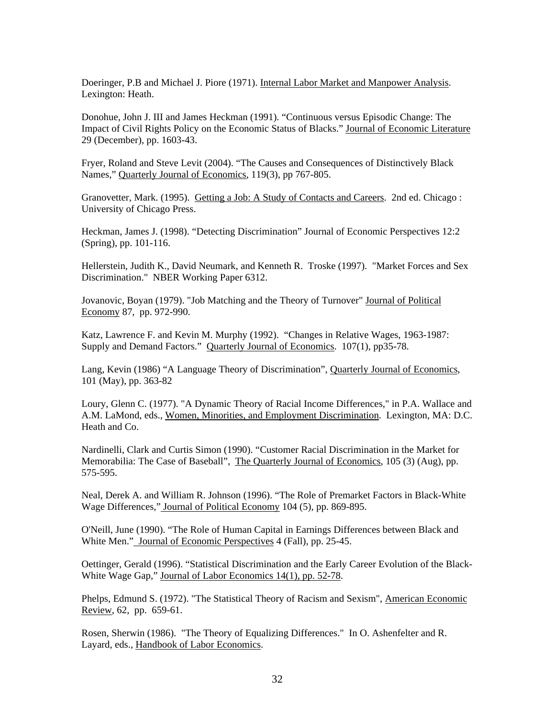Doeringer, P.B and Michael J. Piore (1971). Internal Labor Market and Manpower Analysis. Lexington: Heath.

Donohue, John J. III and James Heckman (1991). "Continuous versus Episodic Change: The Impact of Civil Rights Policy on the Economic Status of Blacks." Journal of Economic Literature 29 (December), pp. 1603-43.

Fryer, Roland and Steve Levit (2004). "The Causes and Consequences of Distinctively Black Names," Quarterly Journal of Economics, 119(3), pp 767-805.

Granovetter, Mark. (1995). Getting a Job: A Study of Contacts and Careers. 2nd ed. Chicago: University of Chicago Press.

Heckman, James J. (1998). "Detecting Discrimination" Journal of Economic Perspectives 12:2 (Spring), pp. 101-116.

Hellerstein, Judith K., David Neumark, and Kenneth R. Troske (1997). "Market Forces and Sex Discrimination." NBER Working Paper 6312.

Jovanovic, Boyan (1979). "Job Matching and the Theory of Turnover" Journal of Political Economy 87, pp. 972-990.

Katz, Lawrence F. and Kevin M. Murphy (1992). "Changes in Relative Wages, 1963-1987: Supply and Demand Factors." Quarterly Journal of Economics. 107(1), pp35-78.

Lang, Kevin (1986) "A Language Theory of Discrimination", Quarterly Journal of Economics, 101 (May), pp. 363-82

Loury, Glenn C. (1977). "A Dynamic Theory of Racial Income Differences," in P.A. Wallace and A.M. LaMond, eds., Women, Minorities, and Employment Discrimination. Lexington, MA: D.C. Heath and Co.

Nardinelli, Clark and Curtis Simon (1990). "Customer Racial Discrimination in the Market for Memorabilia: The Case of Baseball", The Quarterly Journal of Economics, 105 (3) (Aug), pp. 575-595.

Neal, Derek A. and William R. Johnson (1996). "The Role of Premarket Factors in Black-White Wage Differences," Journal of Political Economy 104 (5), pp. 869-895.

O'Neill, June (1990). "The Role of Human Capital in Earnings Differences between Black and White Men." Journal of Economic Perspectives 4 (Fall), pp. 25-45.

Oettinger, Gerald (1996). "Statistical Discrimination and the Early Career Evolution of the Black-White Wage Gap," Journal of Labor Economics 14(1), pp. 52-78.

Phelps, Edmund S. (1972). "The Statistical Theory of Racism and Sexism", American Economic Review, 62, pp. 659-61.

Rosen, Sherwin (1986). "The Theory of Equalizing Differences." In O. Ashenfelter and R. Layard, eds., Handbook of Labor Economics.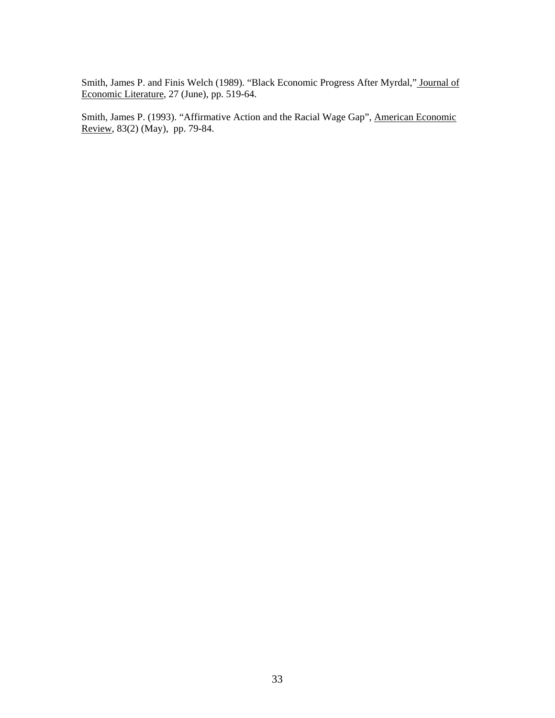Smith, James P. and Finis Welch (1989). "Black Economic Progress After Myrdal," Journal of Economic Literature, 27 (June), pp. 519-64.

Smith, James P. (1993). "Affirmative Action and the Racial Wage Gap", American Economic Review, 83(2) (May), pp. 79-84.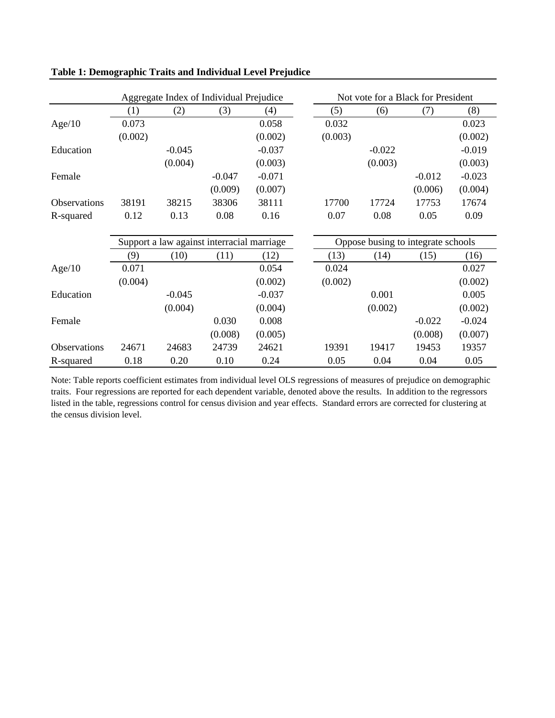|              | Aggregate Index of Individual Prejudice |                                            |          | Not vote for a Black for President |         |                                    |          |          |
|--------------|-----------------------------------------|--------------------------------------------|----------|------------------------------------|---------|------------------------------------|----------|----------|
|              | (1)                                     | (2)                                        | (3)      | (4)                                | (5)     | (6)                                | (7)      | (8)      |
| Age/10       | 0.073                                   |                                            |          | 0.058                              | 0.032   |                                    |          | 0.023    |
|              | (0.002)                                 |                                            |          | (0.002)                            | (0.003) |                                    |          | (0.002)  |
| Education    |                                         | $-0.045$                                   |          | $-0.037$                           |         | $-0.022$                           |          | $-0.019$ |
|              |                                         | (0.004)                                    |          | (0.003)                            |         | (0.003)                            |          | (0.003)  |
| Female       |                                         |                                            | $-0.047$ | $-0.071$                           |         |                                    | $-0.012$ | $-0.023$ |
|              |                                         |                                            | (0.009)  | (0.007)                            |         |                                    | (0.006)  | (0.004)  |
| Observations | 38191                                   | 38215                                      | 38306    | 38111                              | 17700   | 17724                              | 17753    | 17674    |
| R-squared    | 0.12                                    | 0.13                                       | 0.08     | 0.16                               | 0.07    | 0.08                               | 0.05     | 0.09     |
|              |                                         |                                            |          |                                    |         |                                    |          |          |
|              |                                         | Support a law against interracial marriage |          |                                    |         | Oppose busing to integrate schools |          |          |
|              | (9)                                     | (10)                                       | (11)     | (12)                               | (13)    | (14)                               | (15)     | (16)     |
| Age/10       | 0.071                                   |                                            |          | 0.054                              | 0.024   |                                    |          | 0.027    |
|              | (0.004)                                 |                                            |          | (0.002)                            | (0.002) |                                    |          | (0.002)  |
| Education    |                                         | $-0.045$                                   |          | $-0.037$                           |         | 0.001                              |          | 0.005    |
|              |                                         | (0.004)                                    |          | (0.004)                            |         | (0.002)                            |          | (0.002)  |
| Female       |                                         |                                            | 0.030    | 0.008                              |         |                                    | $-0.022$ | $-0.024$ |
|              |                                         |                                            | (0.008)  | (0.005)                            |         |                                    | (0.008)  | (0.007)  |
| Observations | 24671                                   | 24683                                      | 24739    | 24621                              | 19391   | 19417                              | 19453    | 19357    |
| R-squared    | 0.18                                    | 0.20                                       | 0.10     | 0.24                               | 0.05    | 0.04                               | 0.04     | 0.05     |

**Table 1: Demographic Traits and Individual Level Prejudice** 

Note: Table reports coefficient estimates from individual level OLS regressions of measures of prejudice on demographic traits. Four regressions are reported for each dependent variable, denoted above the results. In addition to the regressors listed in the table, regressions control for census division and year effects. Standard errors are corrected for clustering at the census division level.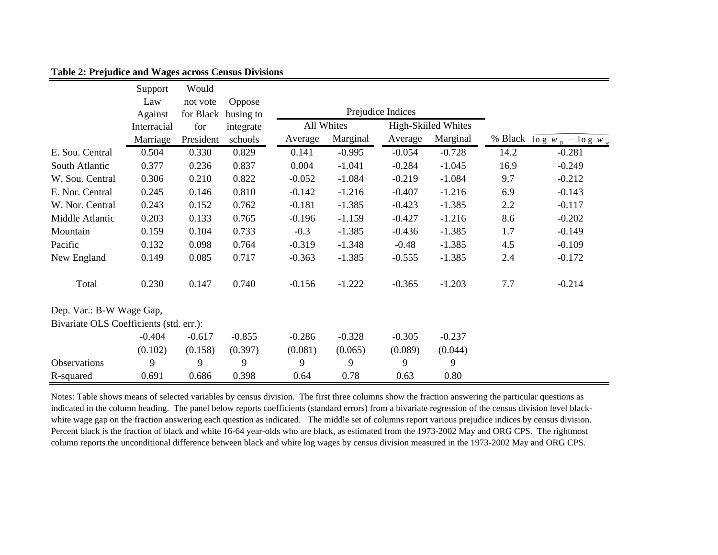|                                         | Support     | Would     |           |          |            |                   |                     |      |                               |
|-----------------------------------------|-------------|-----------|-----------|----------|------------|-------------------|---------------------|------|-------------------------------|
|                                         | Law         | not vote  | Oppose    |          |            |                   |                     |      |                               |
|                                         | Against     | for Black | busing to |          |            | Prejudice Indices |                     |      |                               |
|                                         | Interracial | for       | integrate |          | All Whites |                   | High-Skiiled Whites |      |                               |
|                                         | Marriage    | President | schools   | Average  | Marginal   | Average           | Marginal            |      | % Black $\log w_B - \log w_w$ |
| E. Sou. Central                         | 0.504       | 0.330     | 0.829     | 0.141    | $-0.995$   | $-0.054$          | $-0.728$            | 14.2 | $-0.281$                      |
| South Atlantic                          | 0.377       | 0.236     | 0.837     | 0.004    | $-1.041$   | $-0.284$          | $-1.045$            | 16.9 | $-0.249$                      |
| W. Sou. Central                         | 0.306       | 0.210     | 0.822     | $-0.052$ | $-1.084$   | $-0.219$          | $-1.084$            | 9.7  | $-0.212$                      |
| E. Nor. Central                         | 0.245       | 0.146     | 0.810     | $-0.142$ | $-1.216$   | $-0.407$          | $-1.216$            | 6.9  | $-0.143$                      |
| W. Nor. Central                         | 0.243       | 0.152     | 0.762     | $-0.181$ | $-1.385$   | $-0.423$          | $-1.385$            | 2.2  | $-0.117$                      |
| Middle Atlantic                         | 0.203       | 0.133     | 0.765     | $-0.196$ | $-1.159$   | $-0.427$          | $-1.216$            | 8.6  | $-0.202$                      |
| Mountain                                | 0.159       | 0.104     | 0.733     | $-0.3$   | $-1.385$   | $-0.436$          | $-1.385$            | 1.7  | $-0.149$                      |
| Pacific                                 | 0.132       | 0.098     | 0.764     | $-0.319$ | $-1.348$   | $-0.48$           | $-1.385$            | 4.5  | $-0.109$                      |
| New England                             | 0.149       | 0.085     | 0.717     | $-0.363$ | $-1.385$   | $-0.555$          | $-1.385$            | 2.4  | $-0.172$                      |
| Total                                   | 0.230       | 0.147     | 0.740     | $-0.156$ | $-1.222$   | $-0.365$          | $-1.203$            | 7.7  | $-0.214$                      |
| Dep. Var.: B-W Wage Gap,                |             |           |           |          |            |                   |                     |      |                               |
| Bivariate OLS Coefficients (std. err.): |             |           |           |          |            |                   |                     |      |                               |
|                                         | $-0.404$    | $-0.617$  | $-0.855$  | $-0.286$ | $-0.328$   | $-0.305$          | $-0.237$            |      |                               |
|                                         | (0.102)     | (0.158)   | (0.397)   | (0.081)  | (0.065)    | (0.089)           | (0.044)             |      |                               |
| Observations                            | 9           | 9         | 9         | 9        | 9          | 9                 | 9                   |      |                               |
| R-squared                               | 0.691       | 0.686     | 0.398     | 0.64     | 0.78       | 0.63              | 0.80                |      |                               |

# **Table 2: Prejudice and Wages across Census Divisions**

Notes: Table shows means of selected variables by census division. The first three columns show the fraction answering the particular questions as indicated in the column heading. The panel below reports coefficients (standard errors) from a bivariate regression of the census division level blackwhite wage gap on the fraction answering each question as indicated. The middle set of columns report various prejudice indices by census division. Percent black is the fraction of black and white 16-64 year-olds who are black, as estimated from the 1973-2002 May and ORG CPS. The rightmost column reports the unconditional difference between black and white log wages by census division measured in the 1973-2002 May and ORG CPS.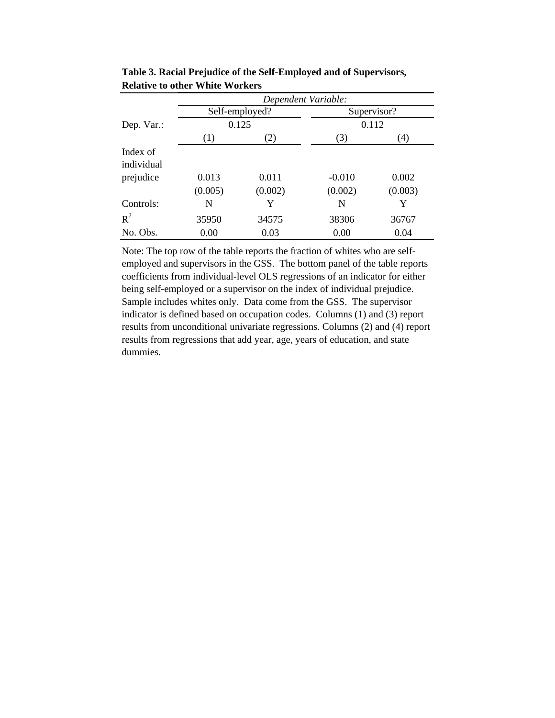|            | Dependent Variable: |                |          |             |  |  |  |
|------------|---------------------|----------------|----------|-------------|--|--|--|
|            |                     | Self-employed? |          | Supervisor? |  |  |  |
| Dep. Var.: |                     | 0.125          |          | 0.112       |  |  |  |
|            | (1)                 | (2)            | (3)      | (4)         |  |  |  |
| Index of   |                     |                |          |             |  |  |  |
| individual |                     |                |          |             |  |  |  |
| prejudice  | 0.013               | 0.011          | $-0.010$ | 0.002       |  |  |  |
|            | (0.005)             | (0.002)        | (0.002)  | (0.003)     |  |  |  |
| Controls:  | N                   | Y              | N        | Y           |  |  |  |
| $R^2$      | 35950               | 34575          | 38306    | 36767       |  |  |  |
| No. Obs.   | 0.00                | 0.03           | 0.00     | 0.04        |  |  |  |

**Table 3. Racial Prejudice of the Self-Employed and of Supervisors, Relative to other White Workers**

Note: The top row of the table reports the fraction of whites who are selfemployed and supervisors in the GSS. The bottom panel of the table reports coefficients from individual-level OLS regressions of an indicator for either being self-employed or a supervisor on the index of individual prejudice. Sample includes whites only. Data come from the GSS. The supervisor indicator is defined based on occupation codes. Columns (1) and (3) report results from unconditional univariate regressions. Columns (2) and (4) report results from regressions that add year, age, years of education, and state dummies.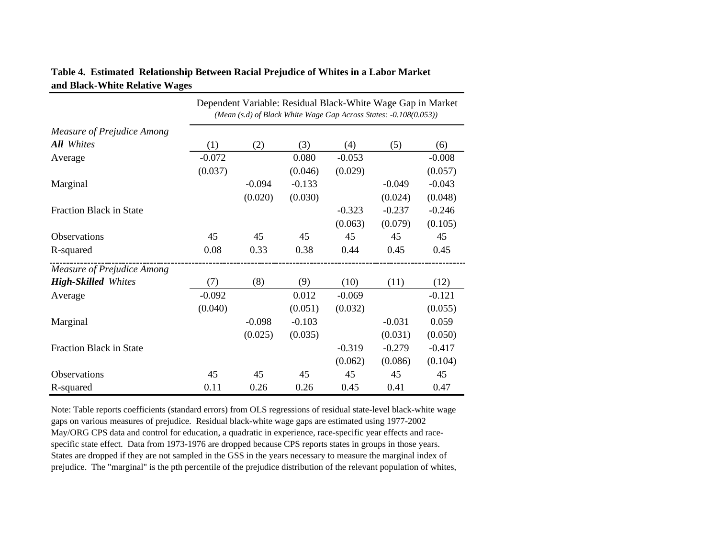|                                | Dependent Variable: Residual Black-White Wage Gap in Market<br>(Mean (s.d) of Black White Wage Gap Across States: -0.108(0.053)) |          |          |          |          |          |  |  |
|--------------------------------|----------------------------------------------------------------------------------------------------------------------------------|----------|----------|----------|----------|----------|--|--|
| Measure of Prejudice Among     |                                                                                                                                  |          |          |          |          |          |  |  |
| All Whites                     | (1)                                                                                                                              | (2)      | (3)      | (4)      | (5)      | (6)      |  |  |
| Average                        | $-0.072$                                                                                                                         |          | 0.080    | $-0.053$ |          | $-0.008$ |  |  |
|                                | (0.037)                                                                                                                          |          | (0.046)  | (0.029)  |          | (0.057)  |  |  |
| Marginal                       |                                                                                                                                  | $-0.094$ | $-0.133$ |          | $-0.049$ | $-0.043$ |  |  |
|                                |                                                                                                                                  | (0.020)  | (0.030)  |          | (0.024)  | (0.048)  |  |  |
| <b>Fraction Black in State</b> |                                                                                                                                  |          |          | $-0.323$ | $-0.237$ | $-0.246$ |  |  |
|                                |                                                                                                                                  |          |          | (0.063)  | (0.079)  | (0.105)  |  |  |
| <b>Observations</b>            | 45                                                                                                                               | 45       | 45       | 45       | 45       | 45       |  |  |
| R-squared                      | 0.08                                                                                                                             | 0.33     | 0.38     | 0.44     | 0.45     | 0.45     |  |  |
| Measure of Prejudice Among     |                                                                                                                                  |          |          |          |          |          |  |  |
| <b>High-Skilled Whites</b>     | (7)                                                                                                                              | (8)      | (9)      | (10)     | (11)     | (12)     |  |  |
| Average                        | $-0.092$                                                                                                                         |          | 0.012    | $-0.069$ |          | $-0.121$ |  |  |
|                                | (0.040)                                                                                                                          |          | (0.051)  | (0.032)  |          | (0.055)  |  |  |
| Marginal                       |                                                                                                                                  | $-0.098$ | $-0.103$ |          | $-0.031$ | 0.059    |  |  |
|                                |                                                                                                                                  | (0.025)  | (0.035)  |          | (0.031)  | (0.050)  |  |  |
| <b>Fraction Black in State</b> |                                                                                                                                  |          |          | $-0.319$ | $-0.279$ | $-0.417$ |  |  |
|                                |                                                                                                                                  |          |          | (0.062)  | (0.086)  | (0.104)  |  |  |
| Observations                   | 45                                                                                                                               | 45       | 45       | 45       | 45       | 45       |  |  |
| R-squared                      | 0.11                                                                                                                             | 0.26     | 0.26     | 0.45     | 0.41     | 0.47     |  |  |

# **Table 4. Estimated Relationship Between Racial Prejudice of Whites in a Labor Market and Black-White Relative Wages**

Note: Table reports coefficients (standard errors) from OLS regressions of residual state-level black-white wage gaps on various measures of prejudice. Residual black-white wage gaps are estimated using 1977-2002 May/ORG CPS data and control for education, a quadratic in experience, race-specific year effects and racespecific state effect. Data from 1973-1976 are dropped because CPS reports states in groups in those years. States are dropped if they are not sampled in the GSS in the years necessary to measure the marginal index of prejudice. The "marginal" is the pth percentile of the prejudice distribution of the relevant population of whites,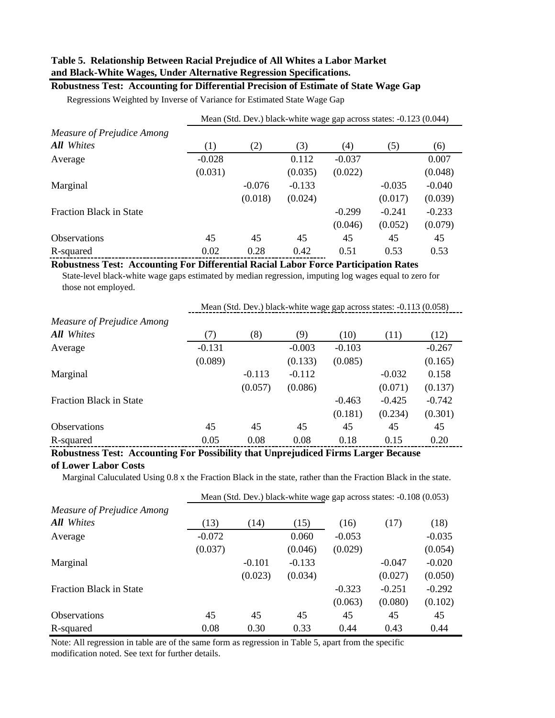# **Table 5. Relationship Between Racial Prejudice of All Whites a Labor Market and Black-White Wages, Under Alternative Regression Specifications.**

## **Robustness Test: Accounting for Differential Precision of Estimate of State Wage Gap**

Regressions Weighted by Inverse of Variance for Estimated State Wage Gap

|                            | Mean (Std. Dev.) black-white wage gap across states: -0.123 (0.044) |          |          |          |          |          |  |  |  |
|----------------------------|---------------------------------------------------------------------|----------|----------|----------|----------|----------|--|--|--|
| Measure of Prejudice Among |                                                                     |          |          |          |          |          |  |  |  |
| All Whites                 | (1)                                                                 | (2)      | (3)      | (4)      | (5)      | (6)      |  |  |  |
| Average                    | $-0.028$                                                            |          | 0.112    | $-0.037$ |          | 0.007    |  |  |  |
|                            | (0.031)                                                             |          | (0.035)  | (0.022)  |          | (0.048)  |  |  |  |
| Marginal                   |                                                                     | $-0.076$ | $-0.133$ |          | $-0.035$ | $-0.040$ |  |  |  |
|                            |                                                                     | (0.018)  | (0.024)  |          | (0.017)  | (0.039)  |  |  |  |
| Fraction Black in State    |                                                                     |          |          | $-0.299$ | $-0.241$ | $-0.233$ |  |  |  |
|                            |                                                                     |          |          | (0.046)  | (0.052)  | (0.079)  |  |  |  |
| <b>Observations</b>        | 45                                                                  | 45       | 45       | 45       | 45       | 45       |  |  |  |
| R-squared                  | 0.02                                                                | 0.28     | 0.42     | 0.51     | 0.53     | 0.53     |  |  |  |

#### **Robustness Test: Accounting For Differential Racial Labor Force Participation Rates**

 State-level black-white wage gaps estimated by median regression, imputing log wages equal to zero for those not employed.

|                                | Mean (Std. Dev.) black-white wage gap across states: -0.113 (0.058) |          |          |          |          |          |  |  |
|--------------------------------|---------------------------------------------------------------------|----------|----------|----------|----------|----------|--|--|
| Measure of Prejudice Among     |                                                                     |          |          |          |          |          |  |  |
| All Whites                     | (7)                                                                 | (8)      | (9)      | (10)     | (11)     | (12)     |  |  |
| Average                        | $-0.131$                                                            |          | $-0.003$ | $-0.103$ |          | $-0.267$ |  |  |
|                                | (0.089)                                                             |          | (0.133)  | (0.085)  |          | (0.165)  |  |  |
| Marginal                       |                                                                     | $-0.113$ | $-0.112$ |          | $-0.032$ | 0.158    |  |  |
|                                |                                                                     | (0.057)  | (0.086)  |          | (0.071)  | (0.137)  |  |  |
| <b>Fraction Black in State</b> |                                                                     |          |          | $-0.463$ | $-0.425$ | $-0.742$ |  |  |
|                                |                                                                     |          |          | (0.181)  | (0.234)  | (0.301)  |  |  |
| <b>Observations</b>            | 45                                                                  | 45       | 45       | 45       | 45       | 45       |  |  |
| R-squared                      | 0.05                                                                | 0.08     | 0.08     | 0.18     | 0.15     | 0.20     |  |  |

# **Robustness Test: Accounting For Possibility that Unprejudiced Firms Larger Because**

# **of Lower Labor Costs**

Marginal Caluculated Using 0.8 x the Fraction Black in the state, rather than the Fraction Black in the state.

|                                | Mean (Std. Dev.) black-white wage gap across states: -0.108 (0.053) |          |          |          |          |          |  |
|--------------------------------|---------------------------------------------------------------------|----------|----------|----------|----------|----------|--|
| Measure of Prejudice Among     |                                                                     |          |          |          |          |          |  |
| All Whites                     | (13)                                                                | (14)     | (15)     | (16)     | (17)     | (18)     |  |
| Average                        | $-0.072$                                                            |          | 0.060    | $-0.053$ |          | $-0.035$ |  |
|                                | (0.037)                                                             |          | (0.046)  | (0.029)  |          | (0.054)  |  |
| Marginal                       |                                                                     | $-0.101$ | $-0.133$ |          | $-0.047$ | $-0.020$ |  |
|                                |                                                                     | (0.023)  | (0.034)  |          | (0.027)  | (0.050)  |  |
| <b>Fraction Black in State</b> |                                                                     |          |          | $-0.323$ | $-0.251$ | $-0.292$ |  |
|                                |                                                                     |          |          | (0.063)  | (0.080)  | (0.102)  |  |
| <b>Observations</b>            | 45                                                                  | 45       | 45       | 45       | 45       | 45       |  |
| R-squared                      | 0.08                                                                | 0.30     | 0.33     | 0.44     | 0.43     | 0.44     |  |

Note: All regression in table are of the same form as regression in Table 5, apart from the specific modification noted. See text for further details.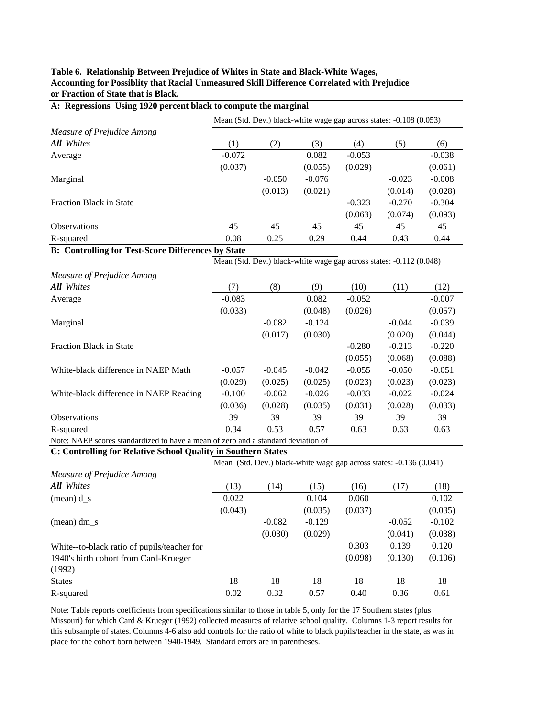| or Fraction of State that is Black.<br>A: Regressions Using 1920 percent black to compute the marginal |          |          |          |          |                                                                     |          |
|--------------------------------------------------------------------------------------------------------|----------|----------|----------|----------|---------------------------------------------------------------------|----------|
|                                                                                                        |          |          |          |          | Mean (Std. Dev.) black-white wage gap across states: -0.108 (0.053) |          |
| <b>Measure of Prejudice Among</b>                                                                      |          |          |          |          |                                                                     |          |
| <b>All</b> Whites                                                                                      | (1)      | (2)      | (3)      | (4)      | (5)                                                                 | (6)      |
| Average                                                                                                | $-0.072$ |          | 0.082    | $-0.053$ |                                                                     | $-0.038$ |
|                                                                                                        | (0.037)  |          | (0.055)  | (0.029)  |                                                                     | (0.061)  |
| Marginal                                                                                               |          | $-0.050$ | $-0.076$ |          | $-0.023$                                                            | $-0.008$ |
|                                                                                                        |          | (0.013)  | (0.021)  |          | (0.014)                                                             | (0.028)  |
| Fraction Black in State                                                                                |          |          |          | $-0.323$ | $-0.270$                                                            | $-0.304$ |
|                                                                                                        |          |          |          | (0.063)  | (0.074)                                                             | (0.093)  |
| Observations                                                                                           | 45       | 45       | 45       | 45       | 45                                                                  | 45       |
| R-squared                                                                                              | 0.08     | 0.25     | 0.29     | 0.44     | 0.43                                                                | 0.44     |
| <b>B: Controlling for Test-Score Differences by State</b>                                              |          |          |          |          |                                                                     |          |
|                                                                                                        |          |          |          |          | Mean (Std. Dev.) black-white wage gap across states: -0.112 (0.048) |          |
| <b>Measure of Prejudice Among</b>                                                                      |          |          |          |          |                                                                     |          |
| <b>All</b> Whites                                                                                      | (7)      | (8)      | (9)      | (10)     | (11)                                                                | (12)     |
| Average                                                                                                | $-0.083$ |          | 0.082    | $-0.052$ |                                                                     | $-0.007$ |
|                                                                                                        | (0.033)  |          | (0.048)  | (0.026)  |                                                                     | (0.057)  |
| Marginal                                                                                               |          | $-0.082$ | $-0.124$ |          | $-0.044$                                                            | $-0.039$ |
|                                                                                                        |          | (0.017)  | (0.030)  |          | (0.020)                                                             | (0.044)  |
| Fraction Black in State                                                                                |          |          |          | $-0.280$ | $-0.213$                                                            | $-0.220$ |
|                                                                                                        |          |          |          | (0.055)  | (0.068)                                                             | (0.088)  |
| White-black difference in NAEP Math                                                                    | $-0.057$ | $-0.045$ | $-0.042$ | $-0.055$ | $-0.050$                                                            | $-0.051$ |
|                                                                                                        | (0.029)  | (0.025)  | (0.025)  | (0.023)  | (0.023)                                                             | (0.023)  |
| White-black difference in NAEP Reading                                                                 | $-0.100$ | $-0.062$ | $-0.026$ | $-0.033$ | $-0.022$                                                            | $-0.024$ |
|                                                                                                        | (0.036)  | (0.028)  | (0.035)  | (0.031)  | (0.028)                                                             | (0.033)  |
| Observations                                                                                           | 39       | 39       | 39       | 39       | 39                                                                  | 39       |
| R-squared                                                                                              | 0.34     | 0.53     | 0.57     | 0.63     | 0.63                                                                | 0.63     |
| Note: NAEP scores standardized to have a mean of zero and a standard deviation of                      |          |          |          |          |                                                                     |          |
| C: Controlling for Relative School Quality in Southern States                                          |          |          |          |          |                                                                     |          |
|                                                                                                        |          |          |          |          | Mean (Std. Dev.) black-white wage gap across states: -0.136 (0.041) |          |
| <b>Measure of Prejudice Among</b>                                                                      |          |          |          |          |                                                                     |          |
| <b>All</b> Whites                                                                                      | (13)     | (14)     | (15)     | (16)     | (17)                                                                | (18)     |
| $(\text{mean}) \, \text{d\_s}$                                                                         | 0.022    |          | 0.104    | 0.060    |                                                                     | 0.102    |
|                                                                                                        | (0.043)  |          | (0.035)  | (0.037)  |                                                                     | (0.035)  |
| $mean) dm_s$                                                                                           |          | $-0.082$ | $-0.129$ |          | $-0.052$                                                            | $-0.102$ |
|                                                                                                        |          | (0.030)  | (0.029)  |          | (0.041)                                                             | (0.038)  |
| White--to-black ratio of pupils/teacher for                                                            |          |          |          | 0.303    | 0.139                                                               | 0.120    |
| 1940's birth cohort from Card-Krueger<br>(1992)                                                        |          |          |          | (0.098)  | (0.130)                                                             | (0.106)  |
| <b>States</b>                                                                                          | 18       | 18       | 18       | 18       | 18                                                                  | 18       |

**Table 6. Relationship Between Prejudice of Whites in State and Black-White Wages, Accounting for Possiblity that Racial Unmeasured Skill Difference Correlated with Prejudice or Fraction of State that is Black.**

Note: Table reports coefficients from specifications similar to those in table 5, only for the 17 Southern states (plus Missouri) for which Card & Krueger (1992) collected measures of relative school quality. Columns 1-3 report results for this subsample of states. Columns 4-6 also add controls for the ratio of white to black pupils/teacher in the state, as was in place for the cohort born between 1940-1949. Standard errors are in parentheses.

R-squared 0.02 0.32 0.57 0.40 0.36 0.61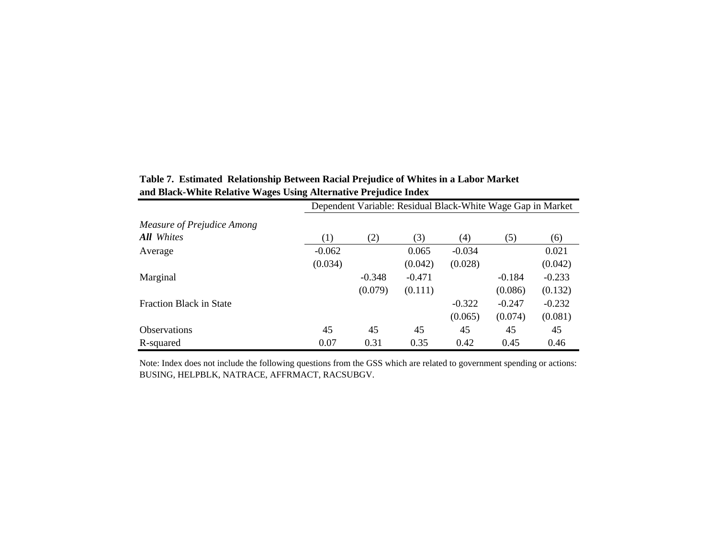| o                              | o                | $\cdot$<br>Dependent Variable: Residual Black-White Wage Gap in Market |          |          |          |          |
|--------------------------------|------------------|------------------------------------------------------------------------|----------|----------|----------|----------|
| Measure of Prejudice Among     |                  |                                                                        |          |          |          |          |
| All Whites                     | $\left(1\right)$ | (2)                                                                    | (3)      | (4)      | (5)      | (6)      |
| Average                        | $-0.062$         |                                                                        | 0.065    | $-0.034$ |          | 0.021    |
|                                | (0.034)          |                                                                        | (0.042)  | (0.028)  |          | (0.042)  |
| Marginal                       |                  | $-0.348$                                                               | $-0.471$ |          | $-0.184$ | $-0.233$ |
|                                |                  | (0.079)                                                                | (0.111)  |          | (0.086)  | (0.132)  |
| <b>Fraction Black in State</b> |                  |                                                                        |          | $-0.322$ | $-0.247$ | $-0.232$ |
|                                |                  |                                                                        |          | (0.065)  | (0.074)  | (0.081)  |
| <b>Observations</b>            | 45               | 45                                                                     | 45       | 45       | 45       | 45       |
| R-squared                      | 0.07             | 0.31                                                                   | 0.35     | 0.42     | 0.45     | 0.46     |

**Table 7. Estimated Relationship Between Racial Prejudice of Whites in a Labor Market and Black-White Relative Wages Using Alternative Prejudice Index**

Note: Index does not include the following questions from the GSS which are related to government spending or actions: BUSING, HELPBLK, NATRACE, AFFRMACT, RACSUBGV.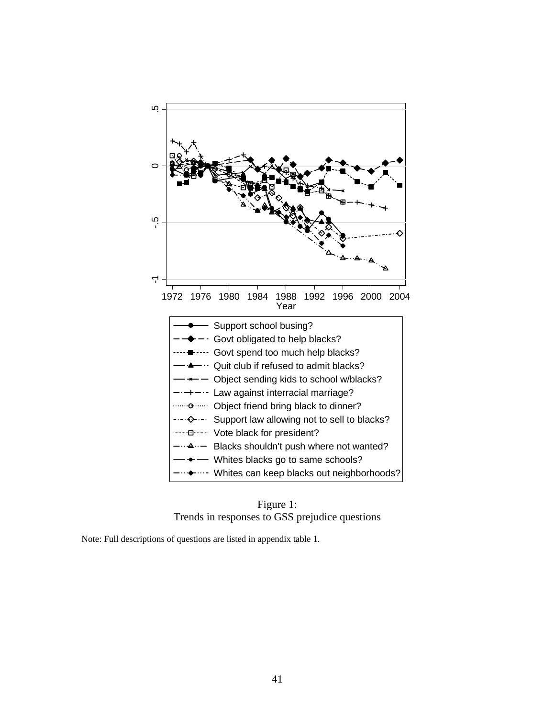

Figure 1: Trends in responses to GSS prejudice questions

Note: Full descriptions of questions are listed in appendix table 1.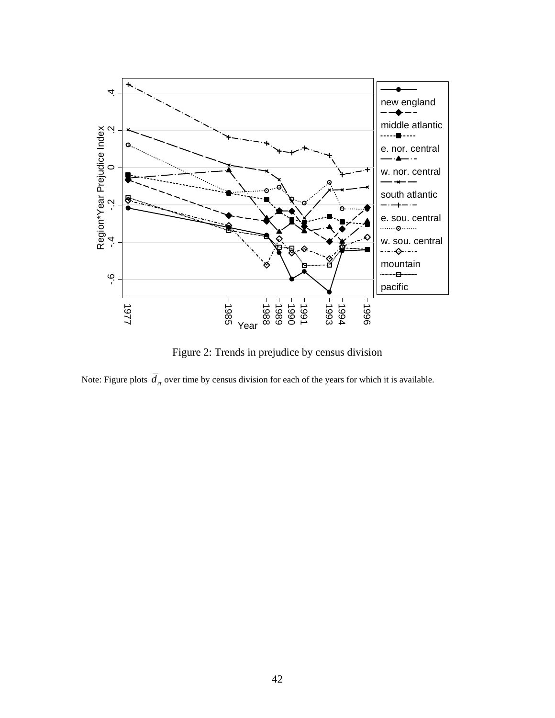

Figure 2: Trends in prejudice by census division

Note: Figure plots  $\overline{d}_n$  over time by census division for each of the years for which it is available.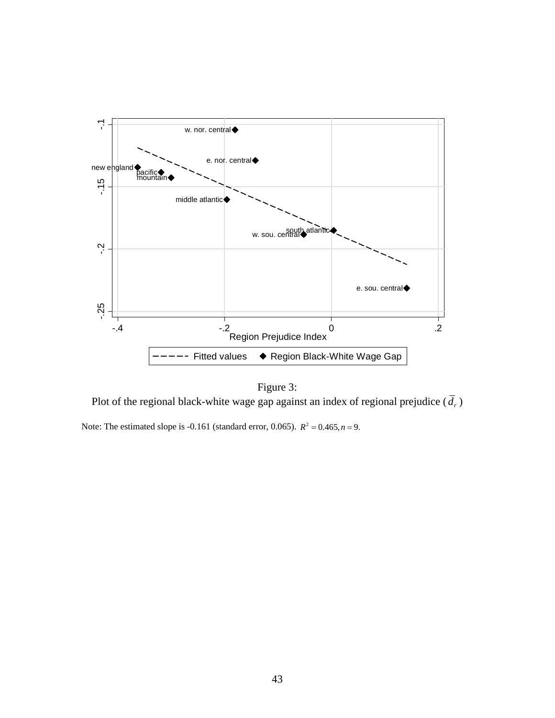

Figure 3: Plot of the regional black-white wage gap against an index of regional prejudice  $(\overline{d}_r)$ 

Note: The estimated slope is -0.161 (standard error, 0.065).  $R^2 = 0.465, n = 9$ .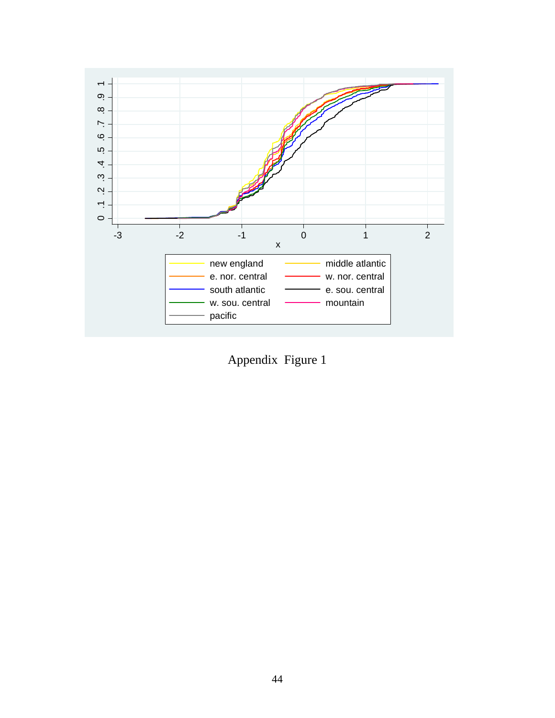

Appendix Figure 1